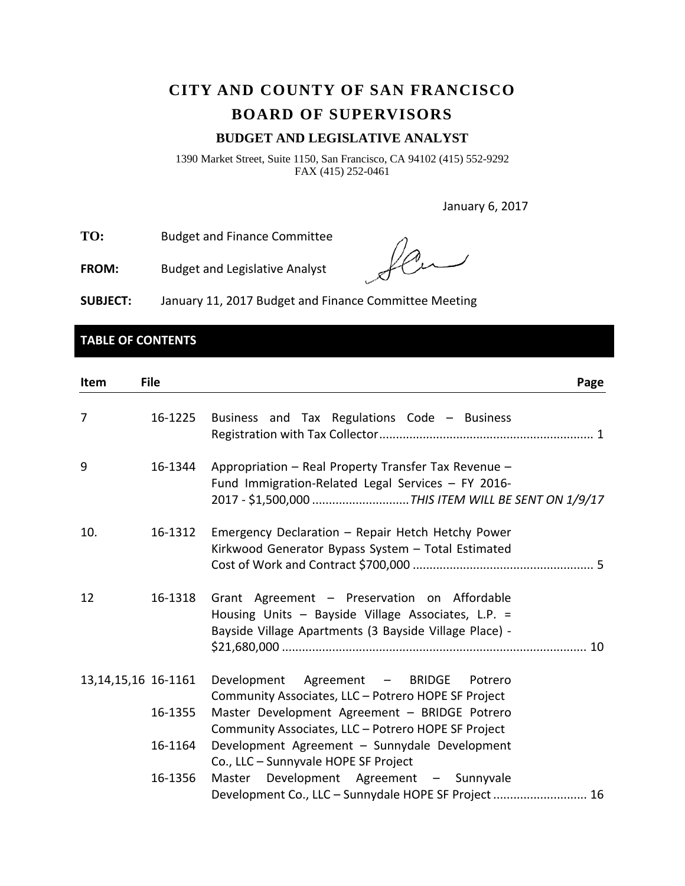# **CITY AND COUNTY OF SAN FRANCISCO BOARD OF SUPERVISORS**

## **BUDGET AND LEGISLATIVE ANALYST**

1390 Market Street, Suite 1150, San Francisco, CA 94102 (415) 552-9292 FAX (415) 252-0461

January 6, 2017

**TO:** Budget and Finance Committee

**FROM:** Budget and Legislative Analyst

**SUBJECT:** January 11, 2017 Budget and Finance Committee Meeting

## **TABLE OF CONTENTS**

| Item                   | <b>File</b> | Page                                                                                                                                                         |
|------------------------|-------------|--------------------------------------------------------------------------------------------------------------------------------------------------------------|
| 7                      | 16-1225     | Business and Tax Regulations Code - Business                                                                                                                 |
| 9                      | 16-1344     | Appropriation - Real Property Transfer Tax Revenue -<br>Fund Immigration-Related Legal Services - FY 2016-                                                   |
| 10.                    | 16-1312     | Emergency Declaration - Repair Hetch Hetchy Power<br>Kirkwood Generator Bypass System - Total Estimated                                                      |
| 12                     | 16-1318     | Grant Agreement - Preservation on Affordable<br>Housing Units - Bayside Village Associates, L.P. =<br>Bayside Village Apartments (3 Bayside Village Place) - |
| 13, 14, 15, 16 16-1161 |             | Agreement - BRIDGE Potrero<br>Development<br>Community Associates, LLC - Potrero HOPE SF Project                                                             |
|                        | 16-1355     | Master Development Agreement - BRIDGE Potrero<br>Community Associates, LLC - Potrero HOPE SF Project                                                         |
|                        | 16-1164     | Development Agreement - Sunnydale Development<br>Co., LLC - Sunnyvale HOPE SF Project                                                                        |
|                        | 16-1356     | Master Development Agreement - Sunnyvale<br>Development Co., LLC - Sunnydale HOPE SF Project  16                                                             |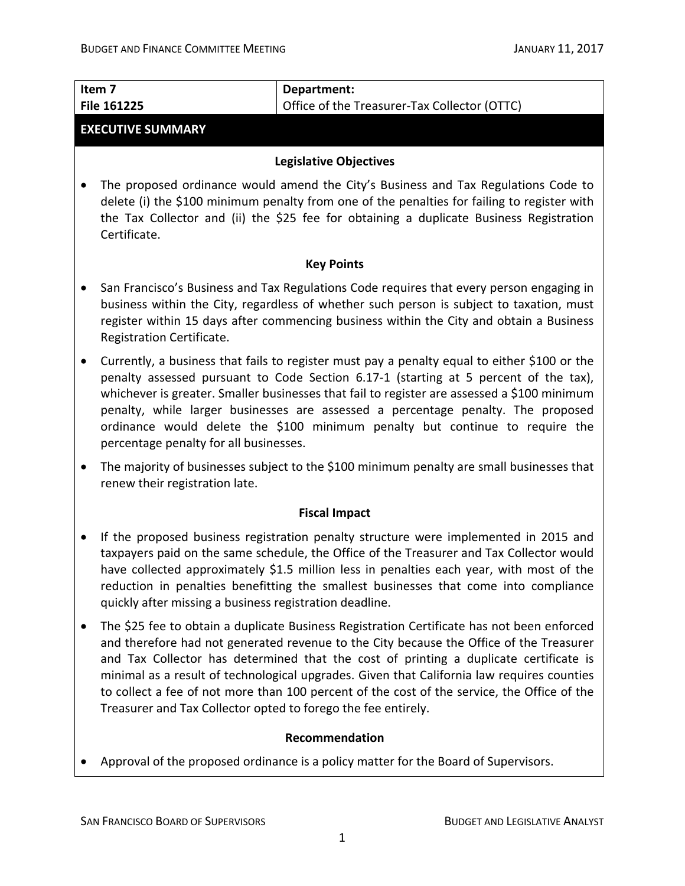| Item <sub>7</sub><br>File 161225                                                                                                                                                                                                                                                                                                                                                                                                                                                                  | Department:<br>Office of the Treasurer-Tax Collector (OTTC)                                                                                                                                                                                                                                                                                                                                                                                                                 |  |  |  |
|---------------------------------------------------------------------------------------------------------------------------------------------------------------------------------------------------------------------------------------------------------------------------------------------------------------------------------------------------------------------------------------------------------------------------------------------------------------------------------------------------|-----------------------------------------------------------------------------------------------------------------------------------------------------------------------------------------------------------------------------------------------------------------------------------------------------------------------------------------------------------------------------------------------------------------------------------------------------------------------------|--|--|--|
| <b>EXECUTIVE SUMMARY</b>                                                                                                                                                                                                                                                                                                                                                                                                                                                                          |                                                                                                                                                                                                                                                                                                                                                                                                                                                                             |  |  |  |
|                                                                                                                                                                                                                                                                                                                                                                                                                                                                                                   | <b>Legislative Objectives</b>                                                                                                                                                                                                                                                                                                                                                                                                                                               |  |  |  |
| The proposed ordinance would amend the City's Business and Tax Regulations Code to<br>delete (i) the \$100 minimum penalty from one of the penalties for failing to register with<br>the Tax Collector and (ii) the \$25 fee for obtaining a duplicate Business Registration<br>Certificate.                                                                                                                                                                                                      |                                                                                                                                                                                                                                                                                                                                                                                                                                                                             |  |  |  |
|                                                                                                                                                                                                                                                                                                                                                                                                                                                                                                   | <b>Key Points</b>                                                                                                                                                                                                                                                                                                                                                                                                                                                           |  |  |  |
| Registration Certificate.                                                                                                                                                                                                                                                                                                                                                                                                                                                                         | San Francisco's Business and Tax Regulations Code requires that every person engaging in<br>business within the City, regardless of whether such person is subject to taxation, must<br>register within 15 days after commencing business within the City and obtain a Business                                                                                                                                                                                             |  |  |  |
| Currently, a business that fails to register must pay a penalty equal to either \$100 or the<br>penalty assessed pursuant to Code Section 6.17-1 (starting at 5 percent of the tax),<br>whichever is greater. Smaller businesses that fail to register are assessed a \$100 minimum<br>penalty, while larger businesses are assessed a percentage penalty. The proposed<br>ordinance would delete the \$100 minimum penalty but continue to require the<br>percentage penalty for all businesses. |                                                                                                                                                                                                                                                                                                                                                                                                                                                                             |  |  |  |
| The majority of businesses subject to the \$100 minimum penalty are small businesses that<br>renew their registration late.                                                                                                                                                                                                                                                                                                                                                                       |                                                                                                                                                                                                                                                                                                                                                                                                                                                                             |  |  |  |
|                                                                                                                                                                                                                                                                                                                                                                                                                                                                                                   | <b>Fiscal Impact</b>                                                                                                                                                                                                                                                                                                                                                                                                                                                        |  |  |  |
| quickly after missing a business registration deadline.                                                                                                                                                                                                                                                                                                                                                                                                                                           | If the proposed business registration penalty structure were implemented in 2015 and<br>taxpayers paid on the same schedule, the Office of the Treasurer and Tax Collector would<br>have collected approximately \$1.5 million less in penalties each year, with most of the<br>reduction in penalties benefitting the smallest businesses that come into compliance                                                                                                        |  |  |  |
| Treasurer and Tax Collector opted to forego the fee entirely.                                                                                                                                                                                                                                                                                                                                                                                                                                     | The \$25 fee to obtain a duplicate Business Registration Certificate has not been enforced<br>and therefore had not generated revenue to the City because the Office of the Treasurer<br>and Tax Collector has determined that the cost of printing a duplicate certificate is<br>minimal as a result of technological upgrades. Given that California law requires counties<br>to collect a fee of not more than 100 percent of the cost of the service, the Office of the |  |  |  |
|                                                                                                                                                                                                                                                                                                                                                                                                                                                                                                   | Recommendation                                                                                                                                                                                                                                                                                                                                                                                                                                                              |  |  |  |
|                                                                                                                                                                                                                                                                                                                                                                                                                                                                                                   | Approval of the proposed ordinance is a policy matter for the Board of Supervisors.                                                                                                                                                                                                                                                                                                                                                                                         |  |  |  |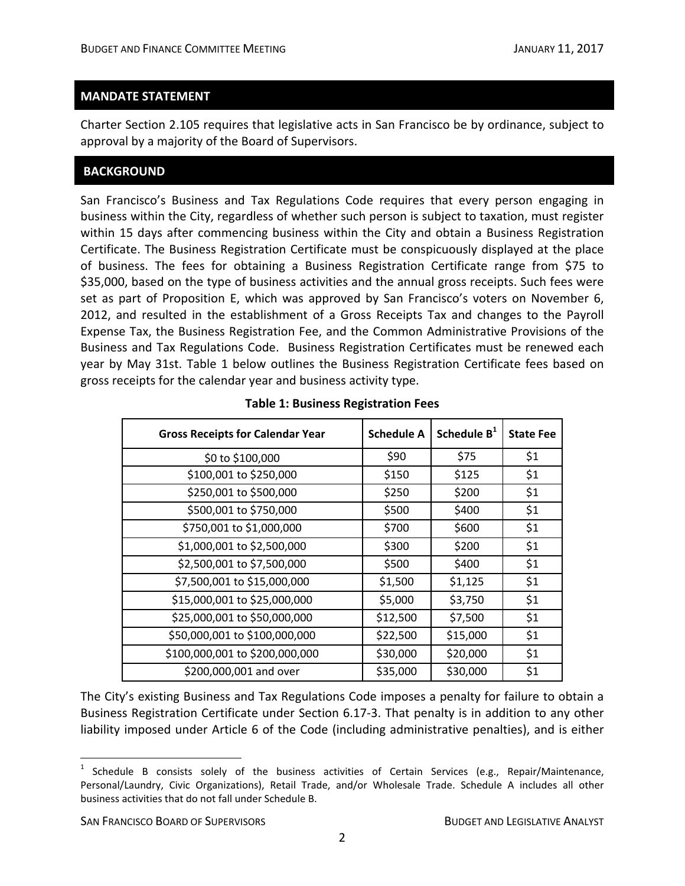#### **MANDATE STATEMENT**

Charter Section 2.105 requires that legislative acts in San Francisco be by ordinance, subject to approval by a majority of the Board of Supervisors.

#### **BACKGROUND**

San Francisco's Business and Tax Regulations Code requires that every person engaging in business within the City, regardless of whether such person is subject to taxation, must register within 15 days after commencing business within the City and obtain a Business Registration Certificate. The Business Registration Certificate must be conspicuously displayed at the place of business. The fees for obtaining a Business Registration Certificate range from \$75 to \$35,000, based on the type of business activities and the annual gross receipts. Such fees were set as part of Proposition E, which was approved by San Francisco's voters on November 6, 2012, and resulted in the establishment of a Gross Receipts Tax and changes to the Payroll Expense Tax, the Business Registration Fee, and the Common Administrative Provisions of the Business and Tax Regulations Code. Business Registration Certificates must be renewed each year by May 31st. Table 1 below outlines the Business Registration Certificate fees based on gross receipts for the calendar year and business activity type.

| <b>Gross Receipts for Calendar Year</b> | <b>Schedule A</b> | Schedule B <sup>1</sup> | <b>State Fee</b> |
|-----------------------------------------|-------------------|-------------------------|------------------|
| \$0 to \$100,000                        | \$90              | \$75                    | \$1              |
| \$100,001 to \$250,000                  | \$150             | \$125                   | \$1              |
| \$250,001 to \$500,000                  | \$250             | \$200                   | \$1              |
| \$500,001 to \$750,000                  | \$500             | \$400                   | \$1              |
| \$750,001 to \$1,000,000                | \$700             | \$600                   | \$1              |
| \$1,000,001 to \$2,500,000              | \$300             | \$200                   | \$1              |
| \$2,500,001 to \$7,500,000              | \$500             | \$400                   | \$1              |
| \$7,500,001 to \$15,000,000             | \$1,500           | \$1,125                 | \$1              |
| \$15,000,001 to \$25,000,000            | \$5,000           | \$3,750                 | \$1              |
| \$25,000,001 to \$50,000,000            | \$12,500          | \$7,500                 | \$1              |
| \$50,000,001 to \$100,000,000           | \$22,500          | \$15,000                | \$1              |
| \$100,000,001 to \$200,000,000          | \$30,000          | \$20,000                | \$1              |
| \$200,000,001 and over                  | \$35,000          | \$30,000                | \$1              |

#### **Table 1: Business Registration Fees**

The City's existing Business and Tax Regulations Code imposes a penalty for failure to obtain a Business Registration Certificate under Section 6.17‐3. That penalty is in addition to any other liability imposed under Article 6 of the Code (including administrative penalties), and is either

 $1$  Schedule B consists solely of the business activities of Certain Services (e.g., Repair/Maintenance, Personal/Laundry, Civic Organizations), Retail Trade, and/or Wholesale Trade. Schedule A includes all other business activities that do not fall under Schedule B.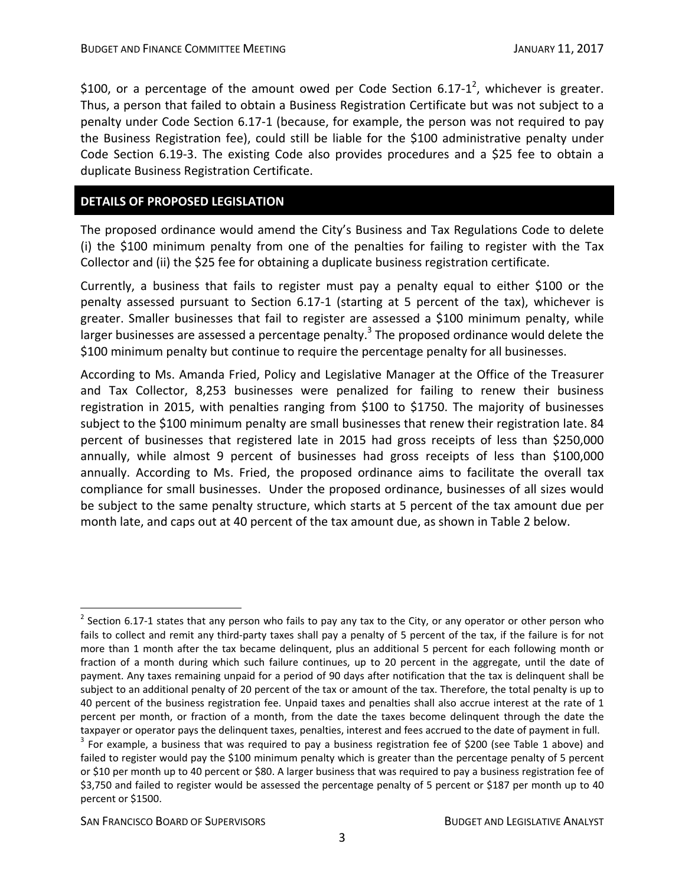\$100, or a percentage of the amount owed per Code Section 6.17-1<sup>2</sup>, whichever is greater. Thus, a person that failed to obtain a Business Registration Certificate but was not subject to a penalty under Code Section 6.17‐1 (because, for example, the person was not required to pay the Business Registration fee), could still be liable for the \$100 administrative penalty under Code Section 6.19‐3. The existing Code also provides procedures and a \$25 fee to obtain a duplicate Business Registration Certificate.

### **DETAILS OF PROPOSED LEGISLATION**

The proposed ordinance would amend the City's Business and Tax Regulations Code to delete (i) the \$100 minimum penalty from one of the penalties for failing to register with the Tax Collector and (ii) the \$25 fee for obtaining a duplicate business registration certificate.

Currently, a business that fails to register must pay a penalty equal to either \$100 or the penalty assessed pursuant to Section 6.17‐1 (starting at 5 percent of the tax), whichever is greater. Smaller businesses that fail to register are assessed a \$100 minimum penalty, while larger businesses are assessed a percentage penalty.<sup>3</sup> The proposed ordinance would delete the \$100 minimum penalty but continue to require the percentage penalty for all businesses.

According to Ms. Amanda Fried, Policy and Legislative Manager at the Office of the Treasurer and Tax Collector, 8,253 businesses were penalized for failing to renew their business registration in 2015, with penalties ranging from \$100 to \$1750. The majority of businesses subject to the \$100 minimum penalty are small businesses that renew their registration late. 84 percent of businesses that registered late in 2015 had gross receipts of less than \$250,000 annually, while almost 9 percent of businesses had gross receipts of less than \$100,000 annually. According to Ms. Fried, the proposed ordinance aims to facilitate the overall tax compliance for small businesses. Under the proposed ordinance, businesses of all sizes would be subject to the same penalty structure, which starts at 5 percent of the tax amount due per month late, and caps out at 40 percent of the tax amount due, as shown in Table 2 below.

SAN FRANCISCO BOARD OF SUPERVISORS **BUDGET AND LEGISLATIVE ANALYST** 

<u>.</u>

 $2$  Section 6.17-1 states that any person who fails to pay any tax to the City, or any operator or other person who fails to collect and remit any third‐party taxes shall pay a penalty of 5 percent of the tax, if the failure is for not more than 1 month after the tax became delinquent, plus an additional 5 percent for each following month or fraction of a month during which such failure continues, up to 20 percent in the aggregate, until the date of payment. Any taxes remaining unpaid for a period of 90 days after notification that the tax is delinquent shall be subject to an additional penalty of 20 percent of the tax or amount of the tax. Therefore, the total penalty is up to 40 percent of the business registration fee. Unpaid taxes and penalties shall also accrue interest at the rate of 1 percent per month, or fraction of a month, from the date the taxes become delinquent through the date the taxpayer or operator pays the delinquent taxes, penalties, interest and fees accrued to the date of payment in full.<br> $3$  For example, a business that was required to pay a business registration fee of \$200 (see Table 1 ab

failed to register would pay the \$100 minimum penalty which is greater than the percentage penalty of 5 percent or \$10 per month up to 40 percent or \$80. A larger business that was required to pay a business registration fee of \$3,750 and failed to register would be assessed the percentage penalty of 5 percent or \$187 per month up to 40 percent or \$1500.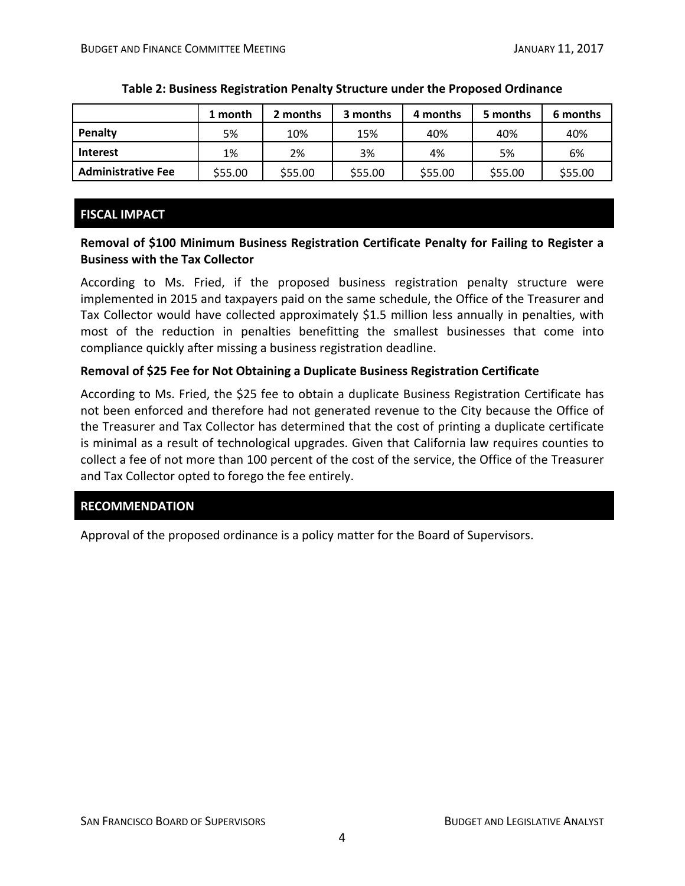|                           | 1 month | 2 months | 3 months | 4 months | 5 months | 6 months |
|---------------------------|---------|----------|----------|----------|----------|----------|
| Penalty                   | 5%      | 10%      | 15%      | 40%      | 40%      | 40%      |
| <b>Interest</b>           | 1%      | 2%       | 3%       | 4%       | 5%       | 6%       |
| <b>Administrative Fee</b> | \$55.00 | \$55.00  | \$55.00  | \$55.00  | \$55.00  | \$55.00  |

#### **Table 2: Business Registration Penalty Structure under the Proposed Ordinance**

## **FISCAL IMPACT**

## **Removal of \$100 Minimum Business Registration Certificate Penalty for Failing to Register a Business with the Tax Collector**

According to Ms. Fried, if the proposed business registration penalty structure were implemented in 2015 and taxpayers paid on the same schedule, the Office of the Treasurer and Tax Collector would have collected approximately \$1.5 million less annually in penalties, with most of the reduction in penalties benefitting the smallest businesses that come into compliance quickly after missing a business registration deadline.

## **Removal of \$25 Fee for Not Obtaining a Duplicate Business Registration Certificate**

According to Ms. Fried, the \$25 fee to obtain a duplicate Business Registration Certificate has not been enforced and therefore had not generated revenue to the City because the Office of the Treasurer and Tax Collector has determined that the cost of printing a duplicate certificate is minimal as a result of technological upgrades. Given that California law requires counties to collect a fee of not more than 100 percent of the cost of the service, the Office of the Treasurer and Tax Collector opted to forego the fee entirely.

## **RECOMMENDATION**

Approval of the proposed ordinance is a policy matter for the Board of Supervisors.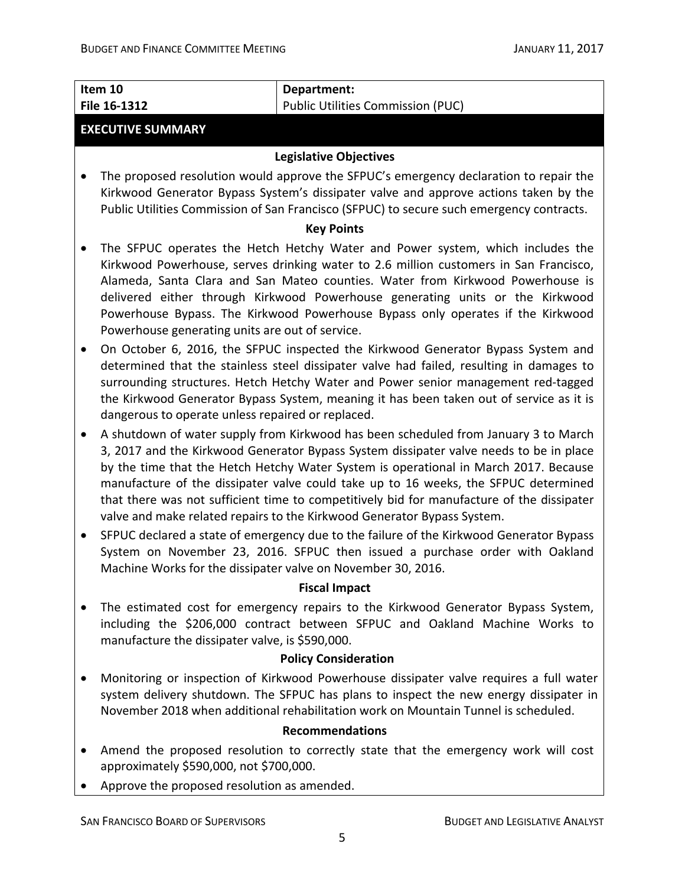|           | Item 10<br>File 16-1312                                      | Department:<br><b>Public Utilities Commission (PUC)</b>                                                                                                                                                                                                                                                                                                                                                                                                                                                                              |
|-----------|--------------------------------------------------------------|--------------------------------------------------------------------------------------------------------------------------------------------------------------------------------------------------------------------------------------------------------------------------------------------------------------------------------------------------------------------------------------------------------------------------------------------------------------------------------------------------------------------------------------|
|           |                                                              |                                                                                                                                                                                                                                                                                                                                                                                                                                                                                                                                      |
|           | <b>EXECUTIVE SUMMARY</b>                                     |                                                                                                                                                                                                                                                                                                                                                                                                                                                                                                                                      |
|           |                                                              | <b>Legislative Objectives</b>                                                                                                                                                                                                                                                                                                                                                                                                                                                                                                        |
|           |                                                              | The proposed resolution would approve the SFPUC's emergency declaration to repair the<br>Kirkwood Generator Bypass System's dissipater valve and approve actions taken by the<br>Public Utilities Commission of San Francisco (SFPUC) to secure such emergency contracts.                                                                                                                                                                                                                                                            |
|           |                                                              | <b>Key Points</b>                                                                                                                                                                                                                                                                                                                                                                                                                                                                                                                    |
|           | Powerhouse generating units are out of service.              | The SFPUC operates the Hetch Hetchy Water and Power system, which includes the<br>Kirkwood Powerhouse, serves drinking water to 2.6 million customers in San Francisco,<br>Alameda, Santa Clara and San Mateo counties. Water from Kirkwood Powerhouse is<br>delivered either through Kirkwood Powerhouse generating units or the Kirkwood<br>Powerhouse Bypass. The Kirkwood Powerhouse Bypass only operates if the Kirkwood                                                                                                        |
| $\bullet$ | dangerous to operate unless repaired or replaced.            | On October 6, 2016, the SFPUC inspected the Kirkwood Generator Bypass System and<br>determined that the stainless steel dissipater valve had failed, resulting in damages to<br>surrounding structures. Hetch Hetchy Water and Power senior management red-tagged<br>the Kirkwood Generator Bypass System, meaning it has been taken out of service as it is                                                                                                                                                                         |
| $\bullet$ |                                                              | A shutdown of water supply from Kirkwood has been scheduled from January 3 to March<br>3, 2017 and the Kirkwood Generator Bypass System dissipater valve needs to be in place<br>by the time that the Hetch Hetchy Water System is operational in March 2017. Because<br>manufacture of the dissipater valve could take up to 16 weeks, the SFPUC determined<br>that there was not sufficient time to competitively bid for manufacture of the dissipater<br>valve and make related repairs to the Kirkwood Generator Bypass System. |
| $\bullet$ | Machine Works for the dissipater valve on November 30, 2016. | SFPUC declared a state of emergency due to the failure of the Kirkwood Generator Bypass<br>System on November 23, 2016. SFPUC then issued a purchase order with Oakland                                                                                                                                                                                                                                                                                                                                                              |
|           |                                                              | <b>Fiscal Impact</b>                                                                                                                                                                                                                                                                                                                                                                                                                                                                                                                 |
|           | manufacture the dissipater valve, is \$590,000.              | The estimated cost for emergency repairs to the Kirkwood Generator Bypass System,<br>including the \$206,000 contract between SFPUC and Oakland Machine Works to                                                                                                                                                                                                                                                                                                                                                                     |
|           |                                                              | <b>Policy Consideration</b>                                                                                                                                                                                                                                                                                                                                                                                                                                                                                                          |
|           |                                                              | Monitoring or inspection of Kirkwood Powerhouse dissipater valve requires a full water<br>system delivery shutdown. The SFPUC has plans to inspect the new energy dissipater in<br>November 2018 when additional rehabilitation work on Mountain Tunnel is scheduled.                                                                                                                                                                                                                                                                |
|           |                                                              | <b>Recommendations</b>                                                                                                                                                                                                                                                                                                                                                                                                                                                                                                               |
|           | approximately \$590,000, not \$700,000.                      | Amend the proposed resolution to correctly state that the emergency work will cost                                                                                                                                                                                                                                                                                                                                                                                                                                                   |
|           | Approve the proposed resolution as amended.                  |                                                                                                                                                                                                                                                                                                                                                                                                                                                                                                                                      |
|           | <b>SAN FRANCISCO BOARD OF SUPERVISORS</b>                    | <b>BUDGET AND LEGISLATIVE ANALYST</b>                                                                                                                                                                                                                                                                                                                                                                                                                                                                                                |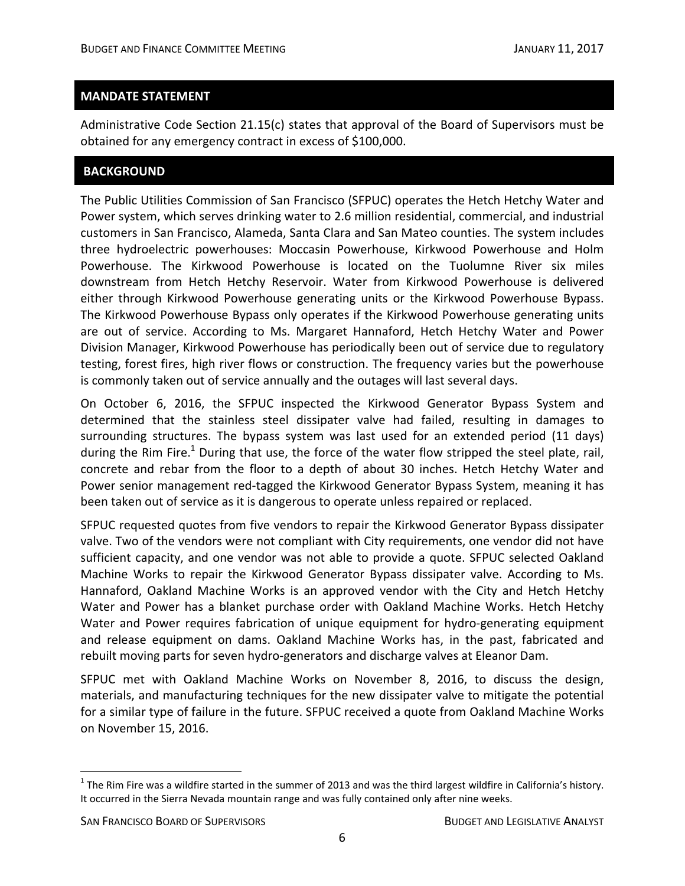### **MANDATE STATEMENT**

Administrative Code Section 21.15(c) states that approval of the Board of Supervisors must be obtained for any emergency contract in excess of \$100,000.

## **BACKGROUND**

The Public Utilities Commission of San Francisco (SFPUC) operates the Hetch Hetchy Water and Power system, which serves drinking water to 2.6 million residential, commercial, and industrial customers in San Francisco, Alameda, Santa Clara and San Mateo counties. The system includes three hydroelectric powerhouses: Moccasin Powerhouse, Kirkwood Powerhouse and Holm Powerhouse. The Kirkwood Powerhouse is located on the Tuolumne River six miles downstream from Hetch Hetchy Reservoir. Water from Kirkwood Powerhouse is delivered either through Kirkwood Powerhouse generating units or the Kirkwood Powerhouse Bypass. The Kirkwood Powerhouse Bypass only operates if the Kirkwood Powerhouse generating units are out of service. According to Ms. Margaret Hannaford, Hetch Hetchy Water and Power Division Manager, Kirkwood Powerhouse has periodically been out of service due to regulatory testing, forest fires, high river flows or construction. The frequency varies but the powerhouse is commonly taken out of service annually and the outages will last several days.

On October 6, 2016, the SFPUC inspected the Kirkwood Generator Bypass System and determined that the stainless steel dissipater valve had failed, resulting in damages to surrounding structures. The bypass system was last used for an extended period (11 days) during the Rim Fire.<sup>1</sup> During that use, the force of the water flow stripped the steel plate, rail, concrete and rebar from the floor to a depth of about 30 inches. Hetch Hetchy Water and Power senior management red-tagged the Kirkwood Generator Bypass System, meaning it has been taken out of service as it is dangerous to operate unless repaired or replaced.

SFPUC requested quotes from five vendors to repair the Kirkwood Generator Bypass dissipater valve. Two of the vendors were not compliant with City requirements, one vendor did not have sufficient capacity, and one vendor was not able to provide a quote. SFPUC selected Oakland Machine Works to repair the Kirkwood Generator Bypass dissipater valve. According to Ms. Hannaford, Oakland Machine Works is an approved vendor with the City and Hetch Hetchy Water and Power has a blanket purchase order with Oakland Machine Works. Hetch Hetchy Water and Power requires fabrication of unique equipment for hydro-generating equipment and release equipment on dams. Oakland Machine Works has, in the past, fabricated and rebuilt moving parts for seven hydro‐generators and discharge valves at Eleanor Dam.

SFPUC met with Oakland Machine Works on November 8, 2016, to discuss the design, materials, and manufacturing techniques for the new dissipater valve to mitigate the potential for a similar type of failure in the future. SFPUC received a quote from Oakland Machine Works on November 15, 2016.

 $1$  The Rim Fire was a wildfire started in the summer of 2013 and was the third largest wildfire in California's history. It occurred in the Sierra Nevada mountain range and was fully contained only after nine weeks.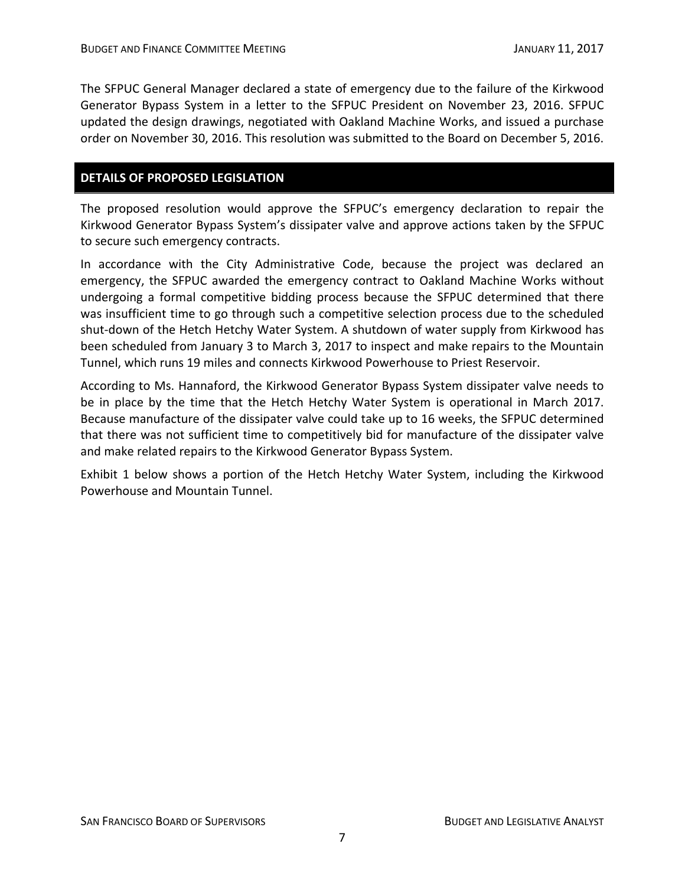The SFPUC General Manager declared a state of emergency due to the failure of the Kirkwood Generator Bypass System in a letter to the SFPUC President on November 23, 2016. SFPUC updated the design drawings, negotiated with Oakland Machine Works, and issued a purchase order on November 30, 2016. This resolution was submitted to the Board on December 5, 2016.

## **DETAILS OF PROPOSED LEGISLATION**

The proposed resolution would approve the SFPUC's emergency declaration to repair the Kirkwood Generator Bypass System's dissipater valve and approve actions taken by the SFPUC to secure such emergency contracts.

In accordance with the City Administrative Code, because the project was declared an emergency, the SFPUC awarded the emergency contract to Oakland Machine Works without undergoing a formal competitive bidding process because the SFPUC determined that there was insufficient time to go through such a competitive selection process due to the scheduled shut-down of the Hetch Hetchy Water System. A shutdown of water supply from Kirkwood has been scheduled from January 3 to March 3, 2017 to inspect and make repairs to the Mountain Tunnel, which runs 19 miles and connects Kirkwood Powerhouse to Priest Reservoir.

According to Ms. Hannaford, the Kirkwood Generator Bypass System dissipater valve needs to be in place by the time that the Hetch Hetchy Water System is operational in March 2017. Because manufacture of the dissipater valve could take up to 16 weeks, the SFPUC determined that there was not sufficient time to competitively bid for manufacture of the dissipater valve and make related repairs to the Kirkwood Generator Bypass System.

Exhibit 1 below shows a portion of the Hetch Hetchy Water System, including the Kirkwood Powerhouse and Mountain Tunnel.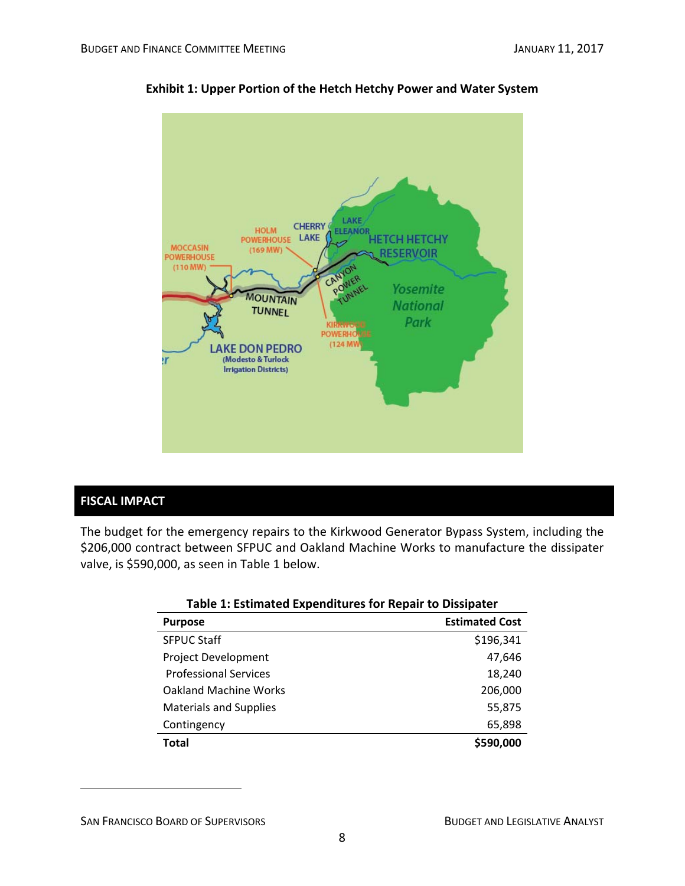

## **Exhibit 1: Upper Portion of the Hetch Hetchy Power and Water System**

## **FISCAL IMPACT**

 $\overline{a}$ 

The budget for the emergency repairs to the Kirkwood Generator Bypass System, including the \$206,000 contract between SFPUC and Oakland Machine Works to manufacture the dissipater valve, is \$590,000, as seen in Table 1 below.

| Table 1: Estimated Expenditures for Repair to Dissipater |                       |  |
|----------------------------------------------------------|-----------------------|--|
| <b>Purpose</b>                                           | <b>Estimated Cost</b> |  |
| <b>SFPUC Staff</b>                                       | \$196,341             |  |
| <b>Project Development</b>                               | 47.646                |  |
| <b>Professional Services</b>                             | 18,240                |  |
| <b>Oakland Machine Works</b>                             | 206,000               |  |
| <b>Materials and Supplies</b>                            | 55,875                |  |
| Contingency                                              | 65,898                |  |
| <b>Total</b>                                             | \$590,000             |  |

SAN FRANCISCO BOARD OF SUPERVISORS **BUDGET AND LEGISLATIVE ANALYST**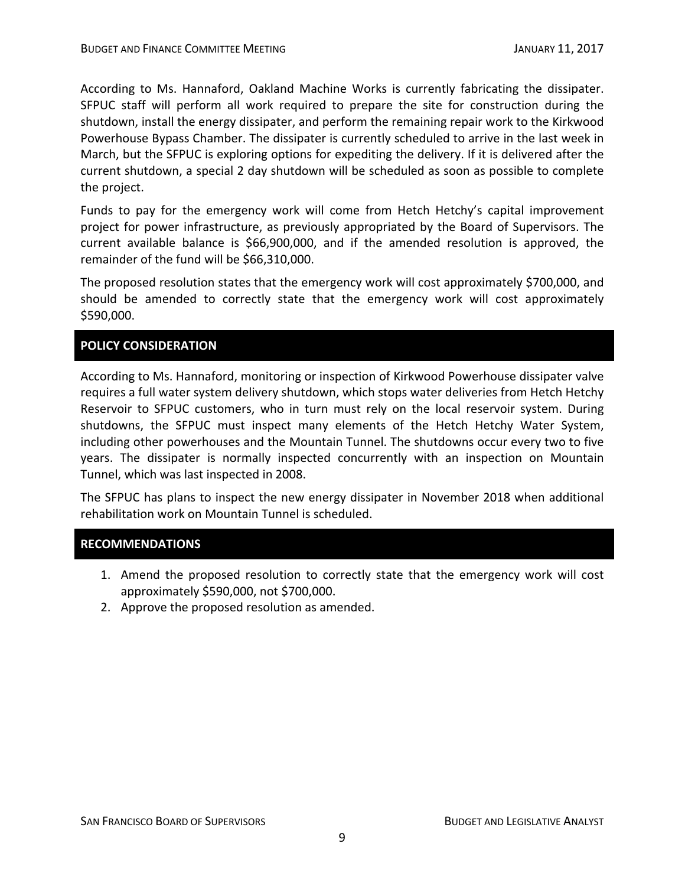According to Ms. Hannaford, Oakland Machine Works is currently fabricating the dissipater. SFPUC staff will perform all work required to prepare the site for construction during the shutdown, install the energy dissipater, and perform the remaining repair work to the Kirkwood Powerhouse Bypass Chamber. The dissipater is currently scheduled to arrive in the last week in March, but the SFPUC is exploring options for expediting the delivery. If it is delivered after the current shutdown, a special 2 day shutdown will be scheduled as soon as possible to complete the project.

Funds to pay for the emergency work will come from Hetch Hetchy's capital improvement project for power infrastructure, as previously appropriated by the Board of Supervisors. The current available balance is \$66,900,000, and if the amended resolution is approved, the remainder of the fund will be \$66,310,000.

The proposed resolution states that the emergency work will cost approximately \$700,000, and should be amended to correctly state that the emergency work will cost approximately \$590,000.

## **POLICY CONSIDERATION**

According to Ms. Hannaford, monitoring or inspection of Kirkwood Powerhouse dissipater valve requires a full water system delivery shutdown, which stops water deliveries from Hetch Hetchy Reservoir to SFPUC customers, who in turn must rely on the local reservoir system. During shutdowns, the SFPUC must inspect many elements of the Hetch Hetchy Water System, including other powerhouses and the Mountain Tunnel. The shutdowns occur every two to five years. The dissipater is normally inspected concurrently with an inspection on Mountain Tunnel, which was last inspected in 2008.

The SFPUC has plans to inspect the new energy dissipater in November 2018 when additional rehabilitation work on Mountain Tunnel is scheduled.

## **RECOMMENDATIONS**

- 1. Amend the proposed resolution to correctly state that the emergency work will cost approximately \$590,000, not \$700,000.
- 2. Approve the proposed resolution as amended.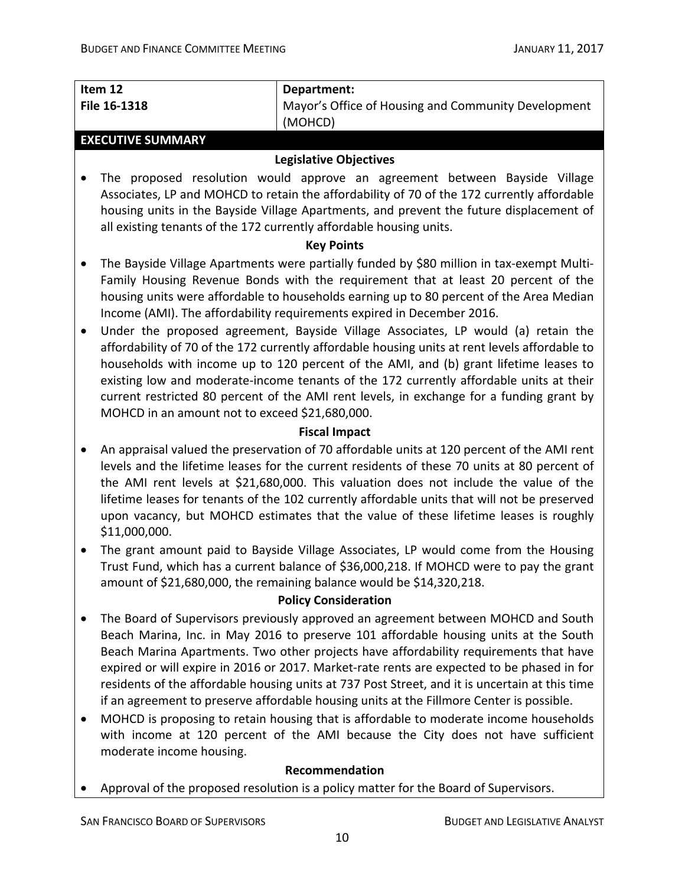| Item 12      | Department:                                         |
|--------------|-----------------------------------------------------|
| File 16-1318 | Mayor's Office of Housing and Community Development |
|              | (MOHCD)                                             |

#### **EXECUTIVE SUMMARY**

### **Legislative Objectives**

 The proposed resolution would approve an agreement between Bayside Village Associates, LP and MOHCD to retain the affordability of 70 of the 172 currently affordable housing units in the Bayside Village Apartments, and prevent the future displacement of all existing tenants of the 172 currently affordable housing units.

## **Key Points**

- The Bayside Village Apartments were partially funded by \$80 million in tax-exempt Multi-Family Housing Revenue Bonds with the requirement that at least 20 percent of the housing units were affordable to households earning up to 80 percent of the Area Median Income (AMI). The affordability requirements expired in December 2016.
- Under the proposed agreement, Bayside Village Associates, LP would (a) retain the affordability of 70 of the 172 currently affordable housing units at rent levels affordable to households with income up to 120 percent of the AMI, and (b) grant lifetime leases to existing low and moderate‐income tenants of the 172 currently affordable units at their current restricted 80 percent of the AMI rent levels, in exchange for a funding grant by MOHCD in an amount not to exceed \$21,680,000.

## **Fiscal Impact**

- An appraisal valued the preservation of 70 affordable units at 120 percent of the AMI rent levels and the lifetime leases for the current residents of these 70 units at 80 percent of the AMI rent levels at \$21,680,000. This valuation does not include the value of the lifetime leases for tenants of the 102 currently affordable units that will not be preserved upon vacancy, but MOHCD estimates that the value of these lifetime leases is roughly \$11,000,000.
- The grant amount paid to Bayside Village Associates, LP would come from the Housing Trust Fund, which has a current balance of \$36,000,218. If MOHCD were to pay the grant amount of \$21,680,000, the remaining balance would be \$14,320,218.

## **Policy Consideration**

- The Board of Supervisors previously approved an agreement between MOHCD and South Beach Marina, Inc. in May 2016 to preserve 101 affordable housing units at the South Beach Marina Apartments. Two other projects have affordability requirements that have expired or will expire in 2016 or 2017. Market-rate rents are expected to be phased in for residents of the affordable housing units at 737 Post Street, and it is uncertain at this time if an agreement to preserve affordable housing units at the Fillmore Center is possible.
- MOHCD is proposing to retain housing that is affordable to moderate income households with income at 120 percent of the AMI because the City does not have sufficient moderate income housing.

## **Recommendation**

Approval of the proposed resolution is a policy matter for the Board of Supervisors.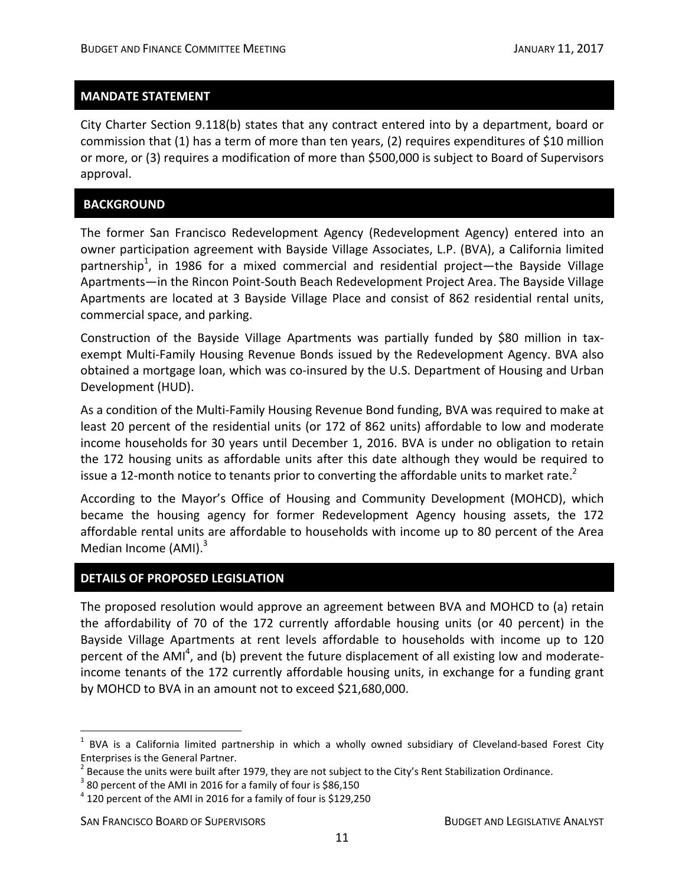#### **MANDATE STATEMENT**

City Charter Section 9.118(b) states that any contract entered into by a department, board or commission that (1) has a term of more than ten years, (2) requires expenditures of \$10 million or more, or (3) requires a modification of more than \$500,000 is subject to Board of Supervisors approval.

#### **BACKGROUND**

The former San Francisco Redevelopment Agency (Redevelopment Agency) entered into an owner participation agreement with Bayside Village Associates, L.P. (BVA), a California limited partnership<sup>1</sup>, in 1986 for a mixed commercial and residential project—the Bayside Village Apartments—in the Rincon Point‐South Beach Redevelopment Project Area. The Bayside Village Apartments are located at 3 Bayside Village Place and consist of 862 residential rental units, commercial space, and parking.

Construction of the Bayside Village Apartments was partially funded by \$80 million in tax‐ exempt Multi-Family Housing Revenue Bonds issued by the Redevelopment Agency. BVA also obtained a mortgage loan, which was co-insured by the U.S. Department of Housing and Urban Development (HUD).

As a condition of the Multi‐Family Housing Revenue Bond funding, BVA was required to make at least 20 percent of the residential units (or 172 of 862 units) affordable to low and moderate income households for 30 years until December 1, 2016. BVA is under no obligation to retain the 172 housing units as affordable units after this date although they would be required to issue a 12-month notice to tenants prior to converting the affordable units to market rate.<sup>2</sup>

According to the Mayor's Office of Housing and Community Development (MOHCD), which became the housing agency for former Redevelopment Agency housing assets, the 172 affordable rental units are affordable to households with income up to 80 percent of the Area Median Income  $(AMI).$ <sup>3</sup>

#### **DETAILS OF PROPOSED LEGISLATION**

The proposed resolution would approve an agreement between BVA and MOHCD to (a) retain the affordability of 70 of the 172 currently affordable housing units (or 40 percent) in the Bayside Village Apartments at rent levels affordable to households with income up to 120 percent of the AMI<sup>4</sup>, and (b) prevent the future displacement of all existing low and moderateincome tenants of the 172 currently affordable housing units, in exchange for a funding grant by MOHCD to BVA in an amount not to exceed \$21,680,000.

<u>.</u>

 $1$  BVA is a California limited partnership in which a wholly owned subsidiary of Cleveland-based Forest City

Enterprises is the General Partner.<br>
<sup>2</sup> Because the units were built after 1979, they are not subject to the City's Rent Stabilization Ordinance.<br>
<sup>3</sup> 80 percent of the AMI in 2016 for a family of four is \$86,150<br>
<sup>4</sup> 12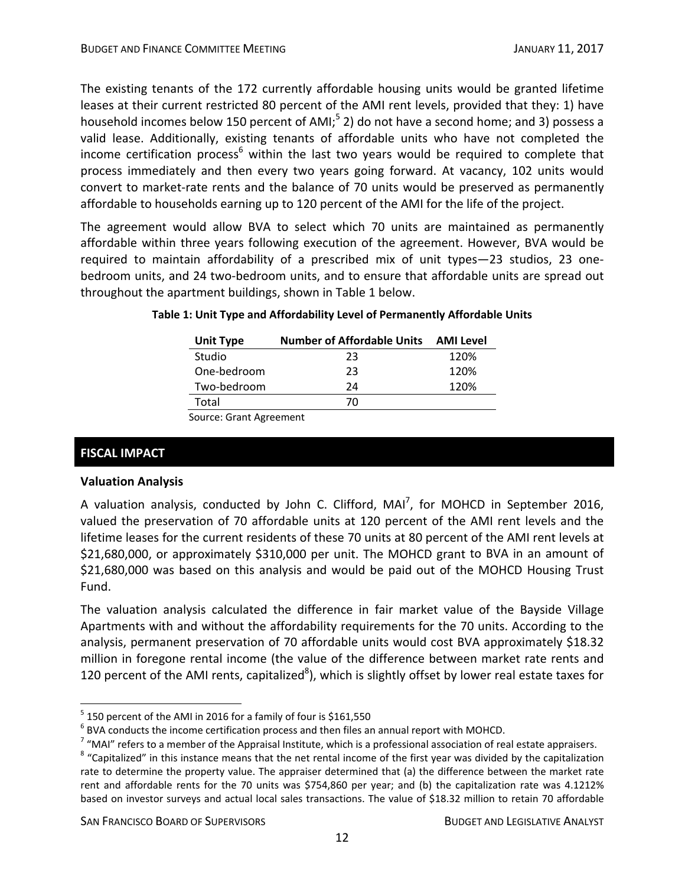The existing tenants of the 172 currently affordable housing units would be granted lifetime leases at their current restricted 80 percent of the AMI rent levels, provided that they: 1) have household incomes below 150 percent of AMI;<sup>5</sup> 2) do not have a second home; and 3) possess a valid lease. Additionally, existing tenants of affordable units who have not completed the income certification process<sup>6</sup> within the last two years would be required to complete that process immediately and then every two years going forward. At vacancy, 102 units would convert to market‐rate rents and the balance of 70 units would be preserved as permanently affordable to households earning up to 120 percent of the AMI for the life of the project.

The agreement would allow BVA to select which 70 units are maintained as permanently affordable within three years following execution of the agreement. However, BVA would be required to maintain affordability of a prescribed mix of unit types—23 studios, 23 one‐ bedroom units, and 24 two-bedroom units, and to ensure that affordable units are spread out throughout the apartment buildings, shown in Table 1 below.

| <b>Unit Type</b> | <b>Number of Affordable Units</b> | AMI Level |
|------------------|-----------------------------------|-----------|
| Studio           | 23                                | 120%      |
| One-bedroom      | 23                                | 120%      |
| Two-bedroom      | 24                                | 120%      |
| Total            | 70                                |           |

## **Table 1: Unit Type and Affordability Level of Permanently Affordable Units**

Source: Grant Agreement

## **FISCAL IMPACT**

<u>.</u>

#### **Valuation Analysis**

A valuation analysis, conducted by John C. Clifford, MAI<sup>7</sup>, for MOHCD in September 2016, valued the preservation of 70 affordable units at 120 percent of the AMI rent levels and the lifetime leases for the current residents of these 70 units at 80 percent of the AMI rent levels at \$21,680,000, or approximately \$310,000 per unit. The MOHCD grant to BVA in an amount of \$21,680,000 was based on this analysis and would be paid out of the MOHCD Housing Trust Fund.

The valuation analysis calculated the difference in fair market value of the Bayside Village Apartments with and without the affordability requirements for the 70 units. According to the analysis, permanent preservation of 70 affordable units would cost BVA approximately \$18.32 million in foregone rental income (the value of the difference between market rate rents and 120 percent of the AMI rents, capitalized<sup>8</sup>), which is slightly offset by lower real estate taxes for

<sup>&</sup>lt;sup>5</sup> 150 percent of the AMI in 2016 for a family of four is \$161,550<br>
<sup>6</sup> BVA conducts the income certification process and then files an annual report with MOHCD.<br>
<sup>7</sup> "MAI" refers to a member of the Appraisal Institute,

rate to determine the property value. The appraiser determined that (a) the difference between the market rate rent and affordable rents for the 70 units was \$754,860 per year; and (b) the capitalization rate was 4.1212% based on investor surveys and actual local sales transactions. The value of \$18.32 million to retain 70 affordable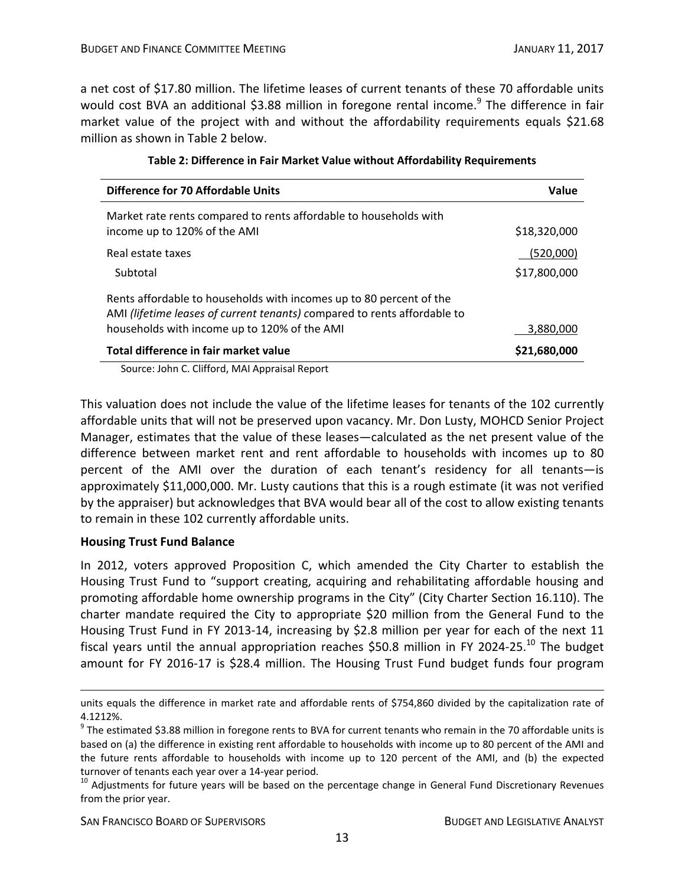a net cost of \$17.80 million. The lifetime leases of current tenants of these 70 affordable units would cost BVA an additional \$3.88 million in foregone rental income.<sup>9</sup> The difference in fair market value of the project with and without the affordability requirements equals \$21.68 million as shown in Table 2 below.

| <b>Difference for 70 Affordable Units</b>                                                                                                                                                       | Value        |
|-------------------------------------------------------------------------------------------------------------------------------------------------------------------------------------------------|--------------|
| Market rate rents compared to rents affordable to households with<br>income up to 120% of the AMI                                                                                               | \$18,320,000 |
| Real estate taxes                                                                                                                                                                               | (520,000)    |
| Subtotal                                                                                                                                                                                        | \$17,800,000 |
| Rents affordable to households with incomes up to 80 percent of the<br>AMI (lifetime leases of current tenants) compared to rents affordable to<br>households with income up to 120% of the AMI | 3,880,000    |
| Total difference in fair market value                                                                                                                                                           | \$21,680,000 |

| Table 2: Difference in Fair Market Value without Affordability Requirements |  |
|-----------------------------------------------------------------------------|--|
|-----------------------------------------------------------------------------|--|

Source: John C. Clifford, MAI Appraisal Report

This valuation does not include the value of the lifetime leases for tenants of the 102 currently affordable units that will not be preserved upon vacancy. Mr. Don Lusty, MOHCD Senior Project Manager, estimates that the value of these leases—calculated as the net present value of the difference between market rent and rent affordable to households with incomes up to 80 percent of the AMI over the duration of each tenant's residency for all tenants—is approximately \$11,000,000. Mr. Lusty cautions that this is a rough estimate (it was not verified by the appraiser) but acknowledges that BVA would bear all of the cost to allow existing tenants to remain in these 102 currently affordable units.

#### **Housing Trust Fund Balance**

 $\overline{a}$ 

In 2012, voters approved Proposition C, which amended the City Charter to establish the Housing Trust Fund to "support creating, acquiring and rehabilitating affordable housing and promoting affordable home ownership programs in the City" (City Charter Section 16.110). The charter mandate required the City to appropriate \$20 million from the General Fund to the Housing Trust Fund in FY 2013‐14, increasing by \$2.8 million per year for each of the next 11 fiscal years until the annual appropriation reaches \$50.8 million in FY 2024-25.<sup>10</sup> The budget amount for FY 2016‐17 is \$28.4 million. The Housing Trust Fund budget funds four program

SAN FRANCISCO BOARD OF SUPERVISORS BUDGET AND LEGISLATIVE ANALYST

units equals the difference in market rate and affordable rents of \$754,860 divided by the capitalization rate of 4.1212%.

<sup>&</sup>lt;sup>9</sup> The estimated \$3.88 million in foregone rents to BVA for current tenants who remain in the 70 affordable units is based on (a) the difference in existing rent affordable to households with income up to 80 percent of the AMI and the future rents affordable to households with income up to 120 percent of the AMI, and (b) the expected turnover of tenants each year over a 14-year period.<br><sup>10</sup> Adjustments for future years will be based on the percentage change in General Fund Discretionary Revenues

from the prior year.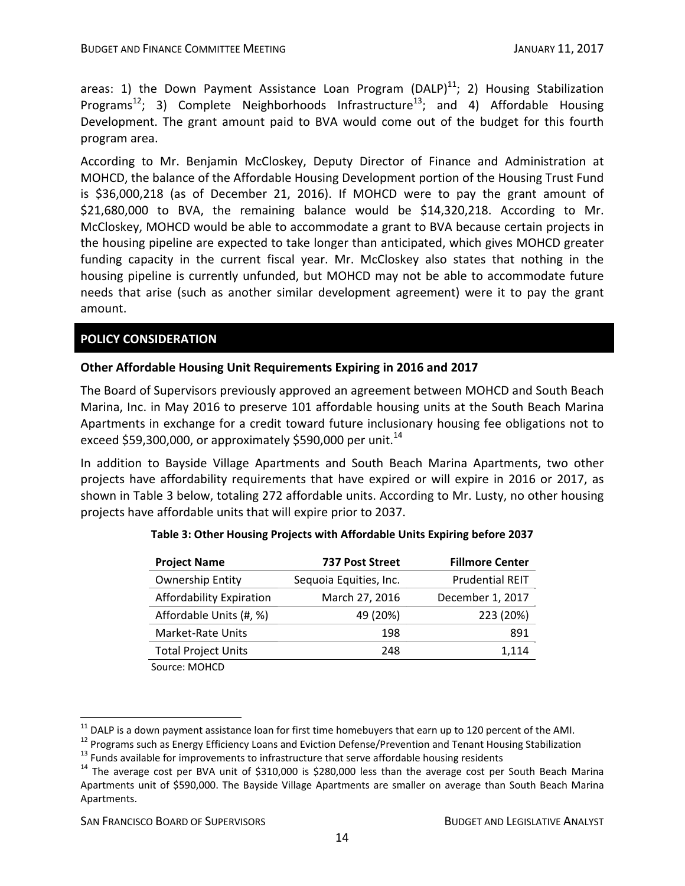areas: 1) the Down Payment Assistance Loan Program (DALP) $^{11}$ ; 2) Housing Stabilization Programs<sup>12</sup>; 3) Complete Neighborhoods Infrastructure<sup>13</sup>; and 4) Affordable Housing Development. The grant amount paid to BVA would come out of the budget for this fourth program area.

According to Mr. Benjamin McCloskey, Deputy Director of Finance and Administration at MOHCD, the balance of the Affordable Housing Development portion of the Housing Trust Fund is \$36,000,218 (as of December 21, 2016). If MOHCD were to pay the grant amount of \$21,680,000 to BVA, the remaining balance would be \$14,320,218. According to Mr. McCloskey, MOHCD would be able to accommodate a grant to BVA because certain projects in the housing pipeline are expected to take longer than anticipated, which gives MOHCD greater funding capacity in the current fiscal year. Mr. McCloskey also states that nothing in the housing pipeline is currently unfunded, but MOHCD may not be able to accommodate future needs that arise (such as another similar development agreement) were it to pay the grant amount.

## **POLICY CONSIDERATION**

## **Other Affordable Housing Unit Requirements Expiring in 2016 and 2017**

The Board of Supervisors previously approved an agreement between MOHCD and South Beach Marina, Inc. in May 2016 to preserve 101 affordable housing units at the South Beach Marina Apartments in exchange for a credit toward future inclusionary housing fee obligations not to exceed \$59,300,000, or approximately \$590,000 per unit.<sup>14</sup>

In addition to Bayside Village Apartments and South Beach Marina Apartments, two other projects have affordability requirements that have expired or will expire in 2016 or 2017, as shown in Table 3 below, totaling 272 affordable units. According to Mr. Lusty, no other housing projects have affordable units that will expire prior to 2037.

| <b>Project Name</b>                                               | 737 Post Street        | <b>Fillmore Center</b> |
|-------------------------------------------------------------------|------------------------|------------------------|
| <b>Ownership Entity</b>                                           | Sequoia Equities, Inc. | <b>Prudential REIT</b> |
| Affordability Expiration                                          | March 27, 2016         | December 1, 2017       |
| Affordable Units (#, %)                                           | 49 (20%)               | 223 (20%)              |
| Market-Rate Units                                                 | 198                    | 891                    |
| <b>Total Project Units</b>                                        | 248                    | 1,114                  |
| $C_{\text{out}}$ $\sim$ $\sim$ $\sim$ $\sim$ $\sim$ $\sim$ $\sim$ |                        |                        |

#### **Table 3: Other Housing Projects with Affordable Units Expiring before 2037**

Source: MOHCD

<sup>&</sup>lt;sup>11</sup> DALP is a down payment assistance loan for first time homebuyers that earn up to 120 percent of the AMI.<br><sup>12</sup> Programs such as Energy Efficiency Loans and Eviction Defense/Prevention and Tenant Housing Stabilization<br> Apartments unit of \$590,000. The Bayside Village Apartments are smaller on average than South Beach Marina Apartments.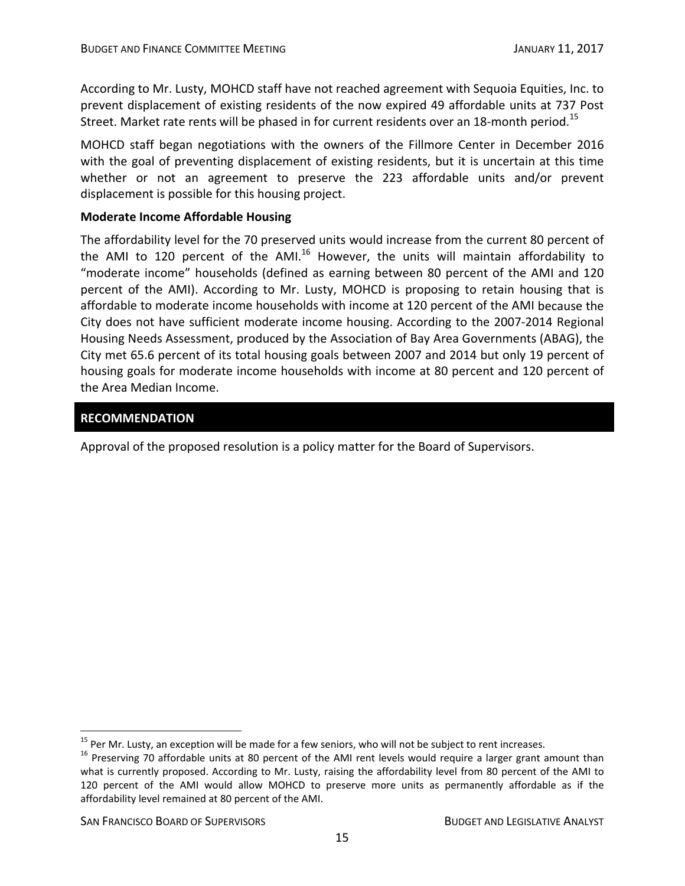According to Mr. Lusty, MOHCD staff have not reached agreement with Sequoia Equities, Inc. to prevent displacement of existing residents of the now expired 49 affordable units at 737 Post Street. Market rate rents will be phased in for current residents over an 18-month period.<sup>15</sup>

MOHCD staff began negotiations with the owners of the Fillmore Center in December 2016 with the goal of preventing displacement of existing residents, but it is uncertain at this time whether or not an agreement to preserve the 223 affordable units and/or prevent displacement is possible for this housing project.

## **Moderate Income Affordable Housing**

The affordability level for the 70 preserved units would increase from the current 80 percent of the AMI to 120 percent of the AMI. $^{16}$  However, the units will maintain affordability to "moderate income" households (defined as earning between 80 percent of the AMI and 120 percent of the AMI). According to Mr. Lusty, MOHCD is proposing to retain housing that is affordable to moderate income households with income at 120 percent of the AMI because the City does not have sufficient moderate income housing. According to the 2007‐2014 Regional Housing Needs Assessment, produced by the Association of Bay Area Governments (ABAG), the City met 65.6 percent of its total housing goals between 2007 and 2014 but only 19 percent of housing goals for moderate income households with income at 80 percent and 120 percent of the Area Median Income.

## **RECOMMENDATION**

Approval of the proposed resolution is a policy matter for the Board of Supervisors.

<sup>&</sup>lt;sup>15</sup> Per Mr. Lusty, an exception will be made for a few seniors, who will not be subject to rent increases.<br><sup>16</sup> Preserving 70 affordable units at 80 percent of the AMI rent levels would require a larger grant amount than what is currently proposed. According to Mr. Lusty, raising the affordability level from 80 percent of the AMI to 120 percent of the AMI would allow MOHCD to preserve more units as permanently affordable as if the affordability level remained at 80 percent of the AMI.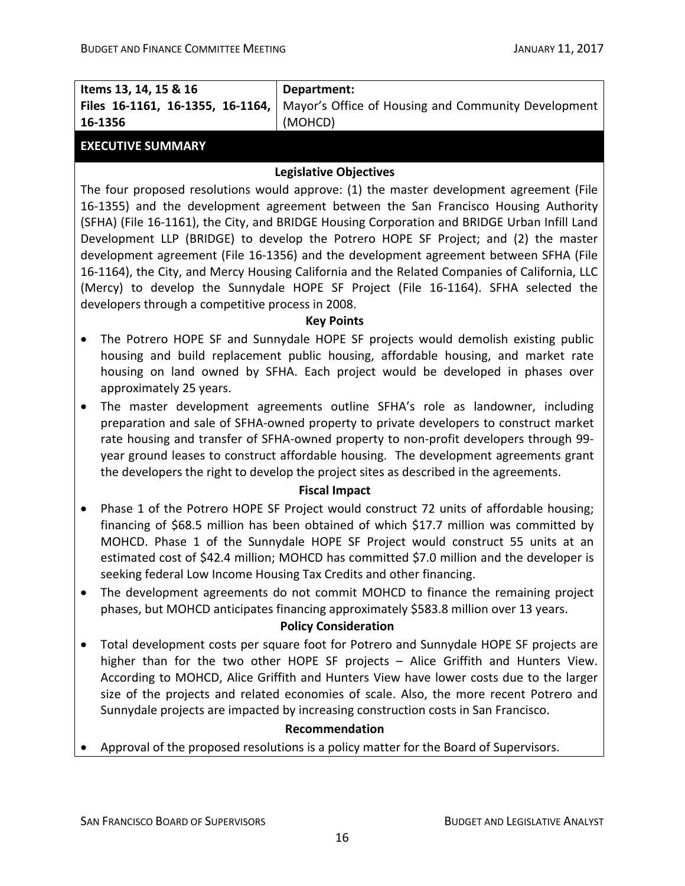| Items 13, 14, 15 & 16                                                                                                                                                                                                                                                                                                                                                                                                                                                                                                                                                                                                                                                                                                                                                                                                                                                                                                                                                                                                                                                                                                                                                                                                                                                                                             | Department:                                                                                                                                                                                                                                                                                                                                                                                                                                           |  |  |
|-------------------------------------------------------------------------------------------------------------------------------------------------------------------------------------------------------------------------------------------------------------------------------------------------------------------------------------------------------------------------------------------------------------------------------------------------------------------------------------------------------------------------------------------------------------------------------------------------------------------------------------------------------------------------------------------------------------------------------------------------------------------------------------------------------------------------------------------------------------------------------------------------------------------------------------------------------------------------------------------------------------------------------------------------------------------------------------------------------------------------------------------------------------------------------------------------------------------------------------------------------------------------------------------------------------------|-------------------------------------------------------------------------------------------------------------------------------------------------------------------------------------------------------------------------------------------------------------------------------------------------------------------------------------------------------------------------------------------------------------------------------------------------------|--|--|
| Files 16-1161, 16-1355, 16-1164,                                                                                                                                                                                                                                                                                                                                                                                                                                                                                                                                                                                                                                                                                                                                                                                                                                                                                                                                                                                                                                                                                                                                                                                                                                                                                  | Mayor's Office of Housing and Community Development                                                                                                                                                                                                                                                                                                                                                                                                   |  |  |
| 16-1356                                                                                                                                                                                                                                                                                                                                                                                                                                                                                                                                                                                                                                                                                                                                                                                                                                                                                                                                                                                                                                                                                                                                                                                                                                                                                                           | (MOHCD)                                                                                                                                                                                                                                                                                                                                                                                                                                               |  |  |
| <b>EXECUTIVE SUMMARY</b>                                                                                                                                                                                                                                                                                                                                                                                                                                                                                                                                                                                                                                                                                                                                                                                                                                                                                                                                                                                                                                                                                                                                                                                                                                                                                          |                                                                                                                                                                                                                                                                                                                                                                                                                                                       |  |  |
|                                                                                                                                                                                                                                                                                                                                                                                                                                                                                                                                                                                                                                                                                                                                                                                                                                                                                                                                                                                                                                                                                                                                                                                                                                                                                                                   | <b>Legislative Objectives</b>                                                                                                                                                                                                                                                                                                                                                                                                                         |  |  |
| The four proposed resolutions would approve: (1) the master development agreement (File<br>16-1355) and the development agreement between the San Francisco Housing Authority<br>(SFHA) (File 16-1161), the City, and BRIDGE Housing Corporation and BRIDGE Urban Infill Land<br>Development LLP (BRIDGE) to develop the Potrero HOPE SF Project; and (2) the master<br>development agreement (File 16-1356) and the development agreement between SFHA (File<br>16-1164), the City, and Mercy Housing California and the Related Companies of California, LLC<br>(Mercy) to develop the Sunnydale HOPE SF Project (File 16-1164). SFHA selected the<br>developers through a competitive process in 2008.<br><b>Key Points</b><br>The Potrero HOPE SF and Sunnydale HOPE SF projects would demolish existing public<br>$\bullet$<br>housing and build replacement public housing, affordable housing, and market rate<br>housing on land owned by SFHA. Each project would be developed in phases over<br>approximately 25 years.<br>The master development agreements outline SFHA's role as landowner, including<br>$\bullet$<br>preparation and sale of SFHA-owned property to private developers to construct market<br>rate housing and transfer of SFHA-owned property to non-profit developers through 99- |                                                                                                                                                                                                                                                                                                                                                                                                                                                       |  |  |
| year ground leases to construct affordable housing. The development agreements grant<br>the developers the right to develop the project sites as described in the agreements.                                                                                                                                                                                                                                                                                                                                                                                                                                                                                                                                                                                                                                                                                                                                                                                                                                                                                                                                                                                                                                                                                                                                     |                                                                                                                                                                                                                                                                                                                                                                                                                                                       |  |  |
| <b>Fiscal Impact</b>                                                                                                                                                                                                                                                                                                                                                                                                                                                                                                                                                                                                                                                                                                                                                                                                                                                                                                                                                                                                                                                                                                                                                                                                                                                                                              |                                                                                                                                                                                                                                                                                                                                                                                                                                                       |  |  |
| $\bullet$                                                                                                                                                                                                                                                                                                                                                                                                                                                                                                                                                                                                                                                                                                                                                                                                                                                                                                                                                                                                                                                                                                                                                                                                                                                                                                         | Phase 1 of the Potrero HOPE SF Project would construct 72 units of affordable housing;<br>financing of \$68.5 million has been obtained of which \$17.7 million was committed by<br>MOHCD. Phase 1 of the Sunnydale HOPE SF Project would construct 55 units at an<br>estimated cost of \$42.4 million; MOHCD has committed \$7.0 million and the developer is<br>seeking federal Low Income Housing Tax Credits and other financing.                 |  |  |
| $\bullet$                                                                                                                                                                                                                                                                                                                                                                                                                                                                                                                                                                                                                                                                                                                                                                                                                                                                                                                                                                                                                                                                                                                                                                                                                                                                                                         | The development agreements do not commit MOHCD to finance the remaining project<br>phases, but MOHCD anticipates financing approximately \$583.8 million over 13 years.<br><b>Policy Consideration</b>                                                                                                                                                                                                                                                |  |  |
|                                                                                                                                                                                                                                                                                                                                                                                                                                                                                                                                                                                                                                                                                                                                                                                                                                                                                                                                                                                                                                                                                                                                                                                                                                                                                                                   |                                                                                                                                                                                                                                                                                                                                                                                                                                                       |  |  |
| $\bullet$                                                                                                                                                                                                                                                                                                                                                                                                                                                                                                                                                                                                                                                                                                                                                                                                                                                                                                                                                                                                                                                                                                                                                                                                                                                                                                         | Total development costs per square foot for Potrero and Sunnydale HOPE SF projects are<br>higher than for the two other HOPE SF projects - Alice Griffith and Hunters View.<br>According to MOHCD, Alice Griffith and Hunters View have lower costs due to the larger<br>size of the projects and related economies of scale. Also, the more recent Potrero and<br>Sunnydale projects are impacted by increasing construction costs in San Francisco. |  |  |
|                                                                                                                                                                                                                                                                                                                                                                                                                                                                                                                                                                                                                                                                                                                                                                                                                                                                                                                                                                                                                                                                                                                                                                                                                                                                                                                   | Recommendation                                                                                                                                                                                                                                                                                                                                                                                                                                        |  |  |
|                                                                                                                                                                                                                                                                                                                                                                                                                                                                                                                                                                                                                                                                                                                                                                                                                                                                                                                                                                                                                                                                                                                                                                                                                                                                                                                   | Approval of the proposed resolutions is a policy matter for the Board of Supervisors                                                                                                                                                                                                                                                                                                                                                                  |  |  |

• Approval of the proposed resolutions is a policy matter for the Board of Supervisors.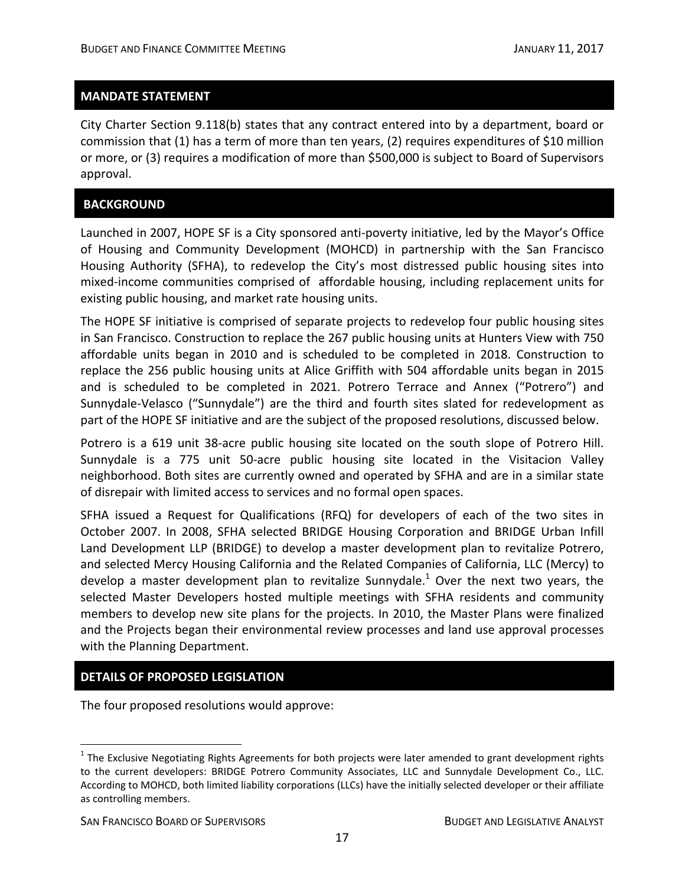#### **MANDATE STATEMENT**

City Charter Section 9.118(b) states that any contract entered into by a department, board or commission that (1) has a term of more than ten years, (2) requires expenditures of \$10 million or more, or (3) requires a modification of more than \$500,000 is subject to Board of Supervisors approval.

#### **BACKGROUND**

Launched in 2007, HOPE SF is a City sponsored anti‐poverty initiative, led by the Mayor's Office of Housing and Community Development (MOHCD) in partnership with the San Francisco Housing Authority (SFHA), to redevelop the City's most distressed public housing sites into mixed‐income communities comprised of affordable housing, including replacement units for existing public housing, and market rate housing units.

The HOPE SF initiative is comprised of separate projects to redevelop four public housing sites in San Francisco. Construction to replace the 267 public housing units at Hunters View with 750 affordable units began in 2010 and is scheduled to be completed in 2018. Construction to replace the 256 public housing units at Alice Griffith with 504 affordable units began in 2015 and is scheduled to be completed in 2021. Potrero Terrace and Annex ("Potrero") and Sunnydale‐Velasco ("Sunnydale") are the third and fourth sites slated for redevelopment as part of the HOPE SF initiative and are the subject of the proposed resolutions, discussed below.

Potrero is a 619 unit 38-acre public housing site located on the south slope of Potrero Hill. Sunnydale is a 775 unit 50‐acre public housing site located in the Visitacion Valley neighborhood. Both sites are currently owned and operated by SFHA and are in a similar state of disrepair with limited access to services and no formal open spaces.

SFHA issued a Request for Qualifications (RFQ) for developers of each of the two sites in October 2007. In 2008, SFHA selected BRIDGE Housing Corporation and BRIDGE Urban Infill Land Development LLP (BRIDGE) to develop a master development plan to revitalize Potrero, and selected Mercy Housing California and the Related Companies of California, LLC (Mercy) to develop a master development plan to revitalize Sunnydale.<sup>1</sup> Over the next two years, the selected Master Developers hosted multiple meetings with SFHA residents and community members to develop new site plans for the projects. In 2010, the Master Plans were finalized and the Projects began their environmental review processes and land use approval processes with the Planning Department.

#### **DETAILS OF PROPOSED LEGISLATION**

The four proposed resolutions would approve:

 $<sup>1</sup>$  The Exclusive Negotiating Rights Agreements for both projects were later amended to grant development rights</sup> to the current developers: BRIDGE Potrero Community Associates, LLC and Sunnydale Development Co., LLC. According to MOHCD, both limited liability corporations (LLCs) have the initially selected developer or their affiliate as controlling members.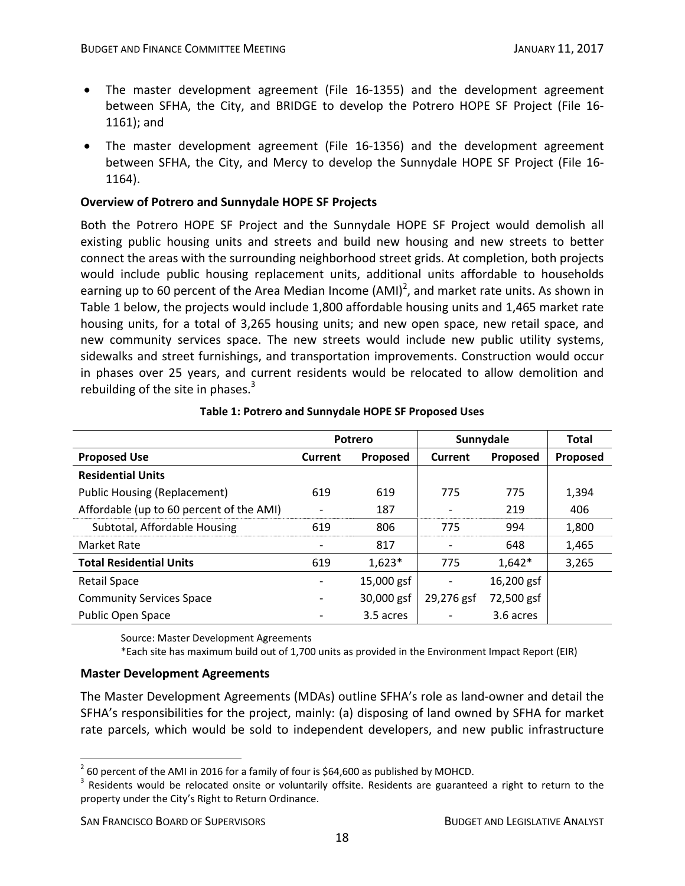- The master development agreement (File 16‐1355) and the development agreement between SFHA, the City, and BRIDGE to develop the Potrero HOPE SF Project (File 16‐ 1161); and
- The master development agreement (File 16‐1356) and the development agreement between SFHA, the City, and Mercy to develop the Sunnydale HOPE SF Project (File 16‐ 1164).

## **Overview of Potrero and Sunnydale HOPE SF Projects**

Both the Potrero HOPE SF Project and the Sunnydale HOPE SF Project would demolish all existing public housing units and streets and build new housing and new streets to better connect the areas with the surrounding neighborhood street grids. At completion, both projects would include public housing replacement units, additional units affordable to households earning up to 60 percent of the Area Median Income (AMI)<sup>2</sup>, and market rate units. As shown in Table 1 below, the projects would include 1,800 affordable housing units and 1,465 market rate housing units, for a total of 3,265 housing units; and new open space, new retail space, and new community services space. The new streets would include new public utility systems, sidewalks and street furnishings, and transportation improvements. Construction would occur in phases over 25 years, and current residents would be relocated to allow demolition and rebuilding of the site in phases. $3$ 

|                                          | Potrero                  |                 | Sunnydale  |                 | <b>Total</b> |
|------------------------------------------|--------------------------|-----------------|------------|-----------------|--------------|
| <b>Proposed Use</b>                      | Current                  | <b>Proposed</b> | Current    | <b>Proposed</b> | Proposed     |
| <b>Residential Units</b>                 |                          |                 |            |                 |              |
| <b>Public Housing (Replacement)</b>      | 619                      | 619             | 775        | 775             | 1,394        |
| Affordable (up to 60 percent of the AMI) |                          | 187             |            | 219             | 406          |
| Subtotal, Affordable Housing             | 619                      | 806             | 775        | 994             | 1,800        |
| <b>Market Rate</b>                       |                          | 817             |            | 648             | 1,465        |
| <b>Total Residential Units</b>           | 619                      | $1,623*$        | 775        | $1,642*$        | 3,265        |
| <b>Retail Space</b>                      |                          | 15,000 gsf      | ۰          | 16,200 gsf      |              |
| <b>Community Services Space</b>          | $\overline{\phantom{a}}$ | 30,000 gsf      | 29,276 gsf | 72,500 gsf      |              |
| <b>Public Open Space</b>                 |                          | 3.5 acres       |            | 3.6 acres       |              |

#### **Table 1: Potrero and Sunnydale HOPE SF Proposed Uses**

Source: Master Development Agreements

\*Each site has maximum build out of 1,700 units as provided in the Environment Impact Report (EIR)

## **Master Development Agreements**

The Master Development Agreements (MDAs) outline SFHA's role as land‐owner and detail the SFHA's responsibilities for the project, mainly: (a) disposing of land owned by SFHA for market rate parcels, which would be sold to independent developers, and new public infrastructure

1

<sup>&</sup>lt;sup>2</sup> 60 percent of the AMI in 2016 for a family of four is \$64,600 as published by MOHCD.<br><sup>3</sup> Residents would be relocated onsite or voluntarily offsite. Residents are guaranteed a right to return to the property under the City's Right to Return Ordinance.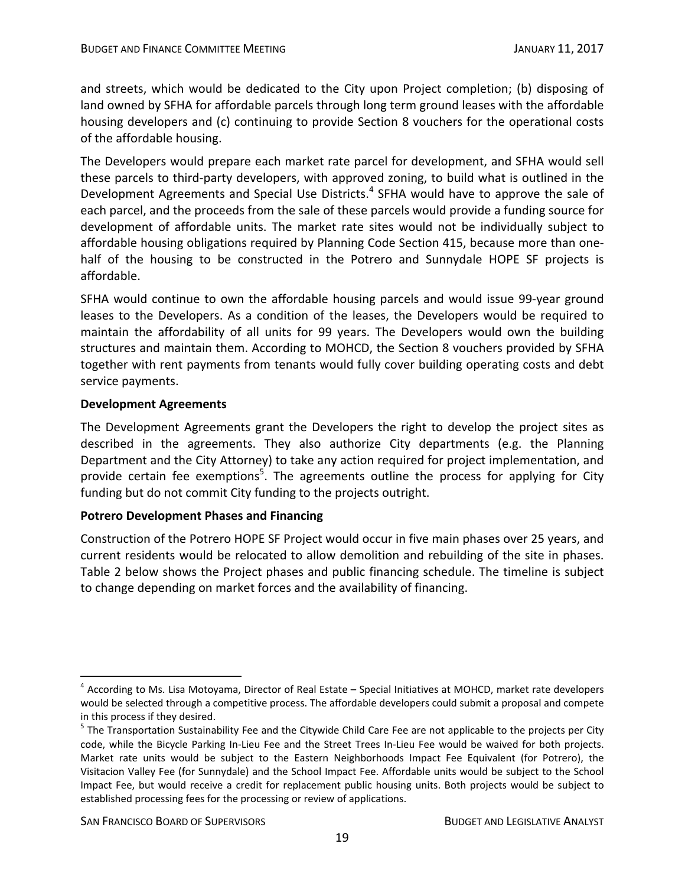and streets, which would be dedicated to the City upon Project completion; (b) disposing of land owned by SFHA for affordable parcels through long term ground leases with the affordable housing developers and (c) continuing to provide Section 8 vouchers for the operational costs of the affordable housing.

The Developers would prepare each market rate parcel for development, and SFHA would sell these parcels to third‐party developers, with approved zoning, to build what is outlined in the Development Agreements and Special Use Districts.<sup>4</sup> SFHA would have to approve the sale of each parcel, and the proceeds from the sale of these parcels would provide a funding source for development of affordable units. The market rate sites would not be individually subject to affordable housing obligations required by Planning Code Section 415, because more than one‐ half of the housing to be constructed in the Potrero and Sunnydale HOPE SF projects is affordable.

SFHA would continue to own the affordable housing parcels and would issue 99‐year ground leases to the Developers. As a condition of the leases, the Developers would be required to maintain the affordability of all units for 99 years. The Developers would own the building structures and maintain them. According to MOHCD, the Section 8 vouchers provided by SFHA together with rent payments from tenants would fully cover building operating costs and debt service payments.

## **Development Agreements**

The Development Agreements grant the Developers the right to develop the project sites as described in the agreements. They also authorize City departments (e.g. the Planning Department and the City Attorney) to take any action required for project implementation, and provide certain fee exemptions<sup>5</sup>. The agreements outline the process for applying for City funding but do not commit City funding to the projects outright.

## **Potrero Development Phases and Financing**

Construction of the Potrero HOPE SF Project would occur in five main phases over 25 years, and current residents would be relocated to allow demolition and rebuilding of the site in phases. Table 2 below shows the Project phases and public financing schedule. The timeline is subject to change depending on market forces and the availability of financing.

 $4$  According to Ms. Lisa Motoyama, Director of Real Estate – Special Initiatives at MOHCD, market rate developers would be selected through a competitive process. The affordable developers could submit a proposal and compete

in this process if they desired.<br><sup>5</sup> The Transportation Sustainability Fee and the Citywide Child Care Fee are not applicable to the projects per City code, while the Bicycle Parking In‐Lieu Fee and the Street Trees In‐Lieu Fee would be waived for both projects. Market rate units would be subject to the Eastern Neighborhoods Impact Fee Equivalent (for Potrero), the Visitacion Valley Fee (for Sunnydale) and the School Impact Fee. Affordable units would be subject to the School Impact Fee, but would receive a credit for replacement public housing units. Both projects would be subject to established processing fees for the processing or review of applications.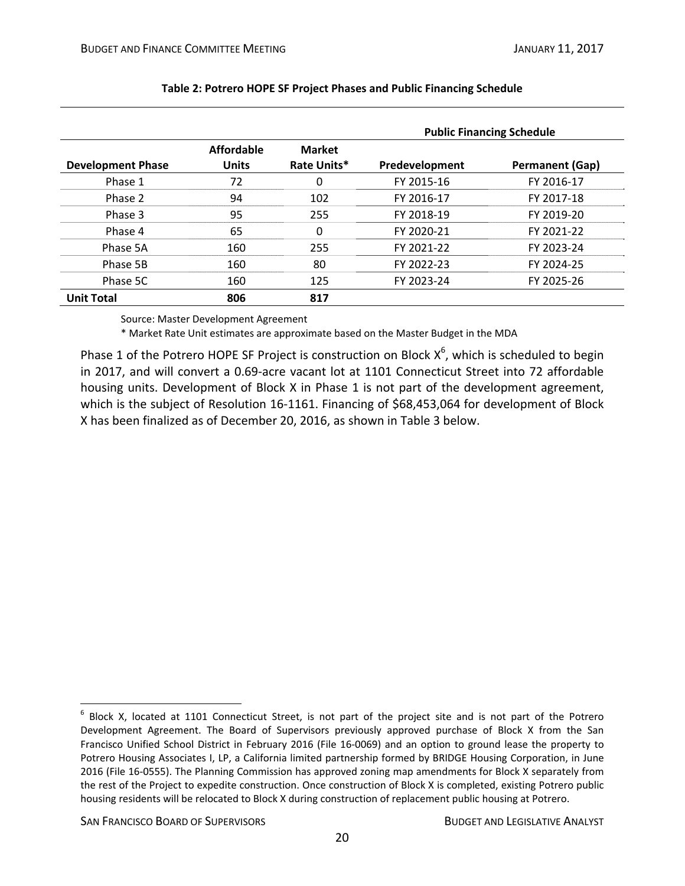|                          |                            |                              | <b>Public Financing Schedule</b> |                        |  |  |
|--------------------------|----------------------------|------------------------------|----------------------------------|------------------------|--|--|
| <b>Development Phase</b> | Affordable<br><b>Units</b> | <b>Market</b><br>Rate Units* | Predevelopment                   | <b>Permanent (Gap)</b> |  |  |
| Phase 1                  | 72                         | 0                            | FY 2015-16                       | FY 2016-17             |  |  |
| Phase 2                  | 94                         | 102                          | FY 2016-17                       | FY 2017-18             |  |  |
| Phase 3                  | 95                         | 255                          | FY 2018-19                       | FY 2019-20             |  |  |
| Phase 4                  | 65                         | 0                            | FY 2020-21                       | FY 2021-22             |  |  |
| Phase 5A                 | 160                        | 255                          | FY 2021-22                       | FY 2023-24             |  |  |
| Phase 5B                 | 160                        | 80                           | FY 2022-23                       | FY 2024-25             |  |  |
| Phase 5C                 | 160                        | 125                          | FY 2023-24                       | FY 2025-26             |  |  |
| <b>Unit Total</b>        | 806                        | 817                          |                                  |                        |  |  |

### **Table 2: Potrero HOPE SF Project Phases and Public Financing Schedule**

Source: Master Development Agreement

\* Market Rate Unit estimates are approximate based on the Master Budget in the MDA

Phase 1 of the Potrero HOPE SF Project is construction on Block  $X^6$ , which is scheduled to begin in 2017, and will convert a 0.69‐acre vacant lot at 1101 Connecticut Street into 72 affordable housing units. Development of Block X in Phase 1 is not part of the development agreement, which is the subject of Resolution 16‐1161. Financing of \$68,453,064 for development of Block X has been finalized as of December 20, 2016, as shown in Table 3 below.

SAN FRANCISCO BOARD OF SUPERVISORS BUDGET AND LEGISLATIVE ANALYST

 $6$  Block X, located at 1101 Connecticut Street, is not part of the project site and is not part of the Potrero Development Agreement. The Board of Supervisors previously approved purchase of Block X from the San Francisco Unified School District in February 2016 (File 16‐0069) and an option to ground lease the property to Potrero Housing Associates I, LP, a California limited partnership formed by BRIDGE Housing Corporation, in June 2016 (File 16‐0555). The Planning Commission has approved zoning map amendments for Block X separately from the rest of the Project to expedite construction. Once construction of Block X is completed, existing Potrero public housing residents will be relocated to Block X during construction of replacement public housing at Potrero.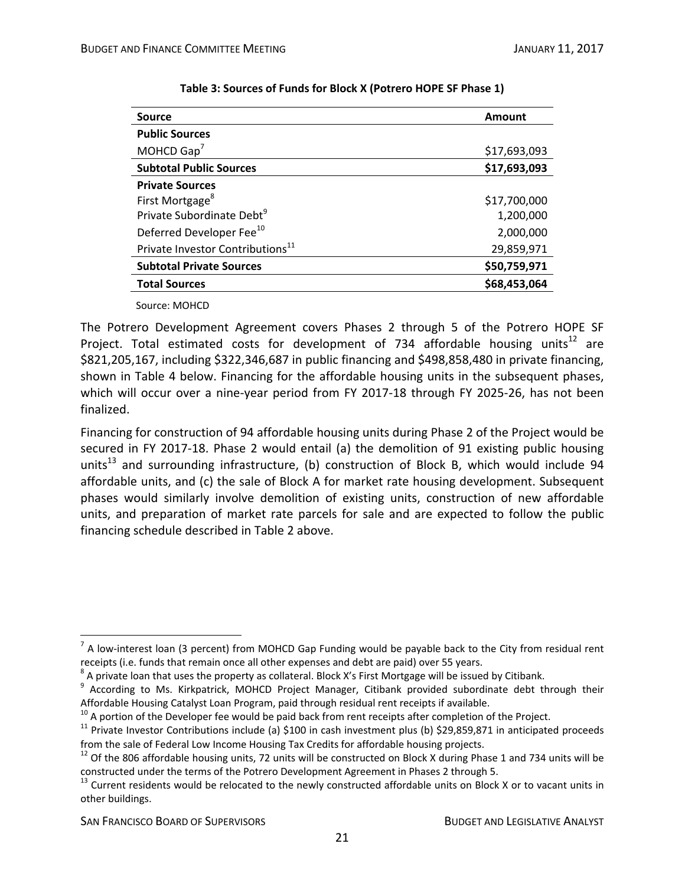| <b>Source</b>                                | Amount       |
|----------------------------------------------|--------------|
| <b>Public Sources</b>                        |              |
| MOHCD $Gap7$                                 | \$17,693,093 |
| <b>Subtotal Public Sources</b>               | \$17,693,093 |
| <b>Private Sources</b>                       |              |
| First Mortgage <sup>8</sup>                  | \$17,700,000 |
| Private Subordinate Debt <sup>9</sup>        | 1,200,000    |
| Deferred Developer Fee <sup>10</sup>         | 2,000,000    |
| Private Investor Contributions <sup>11</sup> | 29,859,971   |
| <b>Subtotal Private Sources</b>              | \$50,759,971 |
| <b>Total Sources</b>                         | \$68,453,064 |
|                                              |              |

| Table 3: Sources of Funds for Block X (Potrero HOPE SF Phase 1) |  |
|-----------------------------------------------------------------|--|
|-----------------------------------------------------------------|--|

Source: MOHCD

The Potrero Development Agreement covers Phases 2 through 5 of the Potrero HOPE SF Project. Total estimated costs for development of 734 affordable housing units<sup>12</sup> are \$821,205,167, including \$322,346,687 in public financing and \$498,858,480 in private financing, shown in Table 4 below. Financing for the affordable housing units in the subsequent phases, which will occur over a nine-year period from FY 2017-18 through FY 2025-26, has not been finalized.

Financing for construction of 94 affordable housing units during Phase 2 of the Project would be secured in FY 2017-18. Phase 2 would entail (a) the demolition of 91 existing public housing units<sup>13</sup> and surrounding infrastructure, (b) construction of Block B, which would include 94 affordable units, and (c) the sale of Block A for market rate housing development. Subsequent phases would similarly involve demolition of existing units, construction of new affordable units, and preparation of market rate parcels for sale and are expected to follow the public financing schedule described in Table 2 above.

 $\overline{a}$  $^7$  A low-interest loan (3 percent) from MOHCD Gap Funding would be payable back to the City from residual rent

receipts (i.e. funds that remain once all other expenses and debt are paid) over 55 years.<br>
<sup>8</sup> A private loan that uses the property as collateral. Block X's First Mortgage will be issued by Citibank.<br>
<sup>9</sup> According to Ms

<sup>&</sup>lt;sup>10</sup> A portion of the Developer fee would be paid back from rent receipts after completion of the Project.<br><sup>11</sup> Private Investor Contributions include (a) \$100 in cash investment plus (b) \$29,859,871 in anticipated procee

<sup>&</sup>lt;sup>12</sup> Of the 806 affordable housing units, 72 units will be constructed on Block X during Phase 1 and 734 units will be constructed under the terms of the Potrero Development Agreement in Phases 2 through 5.<br><sup>13</sup> Current residents would be relocated to the newly constructed affordable units on Block X or to vacant units in

other buildings.

SAN FRANCISCO BOARD OF SUPERVISORS **BUDGET AND LEGISLATIVE ANALYST**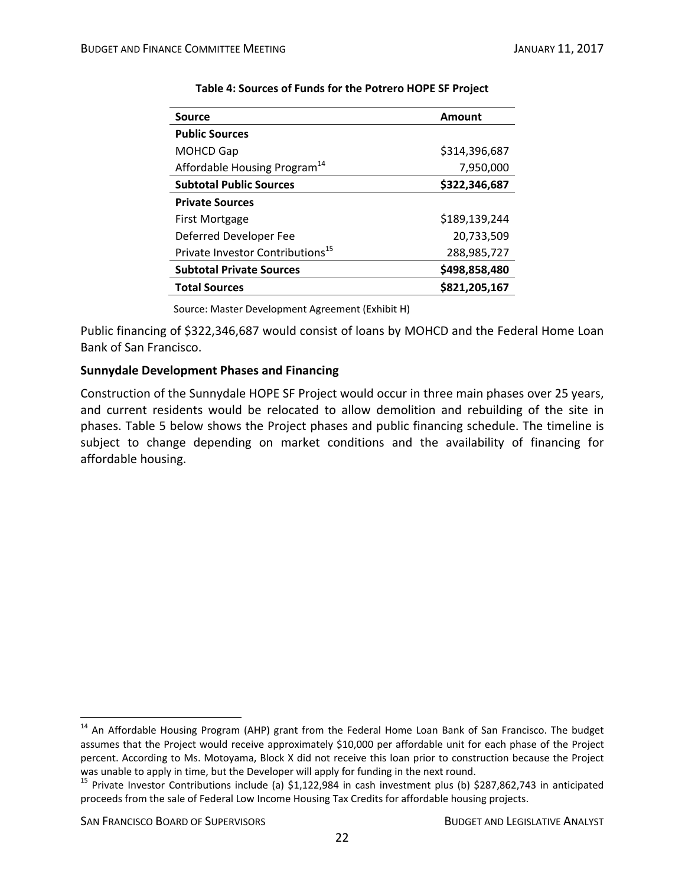| <b>Source</b>                                | Amount        |
|----------------------------------------------|---------------|
| <b>Public Sources</b>                        |               |
| <b>MOHCD Gap</b>                             | \$314,396,687 |
| Affordable Housing Program <sup>14</sup>     | 7,950,000     |
| <b>Subtotal Public Sources</b>               | \$322,346,687 |
| <b>Private Sources</b>                       |               |
| First Mortgage                               | \$189,139,244 |
| Deferred Developer Fee                       | 20,733,509    |
| Private Investor Contributions <sup>15</sup> | 288,985,727   |
| <b>Subtotal Private Sources</b>              | \$498,858,480 |
| <b>Total Sources</b>                         | \$821,205,167 |

### **Table 4: Sources of Funds for the Potrero HOPE SF Project**

Source: Master Development Agreement (Exhibit H)

Public financing of \$322,346,687 would consist of loans by MOHCD and the Federal Home Loan Bank of San Francisco.

#### **Sunnydale Development Phases and Financing**

Construction of the Sunnydale HOPE SF Project would occur in three main phases over 25 years, and current residents would be relocated to allow demolition and rebuilding of the site in phases. Table 5 below shows the Project phases and public financing schedule. The timeline is subject to change depending on market conditions and the availability of financing for affordable housing.

<sup>&</sup>lt;sup>14</sup> An Affordable Housing Program (AHP) grant from the Federal Home Loan Bank of San Francisco. The budget assumes that the Project would receive approximately \$10,000 per affordable unit for each phase of the Project percent. According to Ms. Motoyama, Block X did not receive this loan prior to construction because the Project

was unable to apply in time, but the Developer will apply for funding in the next round.<br><sup>15</sup> Private Investor Contributions include (a) \$1,122,984 in cash investment plus (b) \$287,862,743 in anticipated proceeds from the sale of Federal Low Income Housing Tax Credits for affordable housing projects.

SAN FRANCISCO BOARD OF SUPERVISORS BUDGET AND LEGISLATIVE ANALYST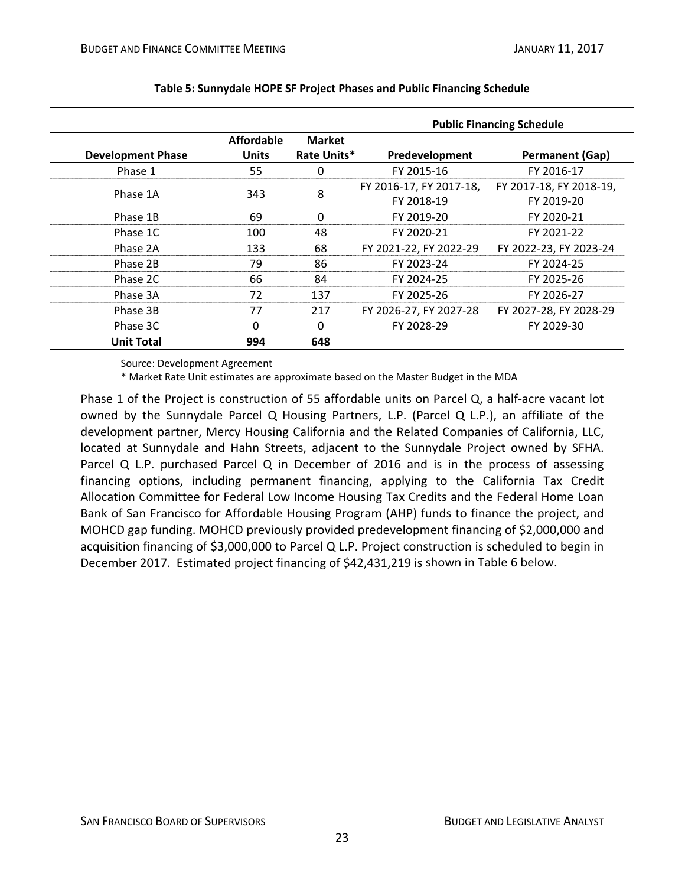|                          |                                   |                              | <b>Public Financing Schedule</b>      |                                       |  |  |
|--------------------------|-----------------------------------|------------------------------|---------------------------------------|---------------------------------------|--|--|
| <b>Development Phase</b> | <b>Affordable</b><br><b>Units</b> | <b>Market</b><br>Rate Units* | Predevelopment                        | <b>Permanent (Gap)</b>                |  |  |
| Phase 1                  | 55                                | 0                            | FY 2015-16                            | FY 2016-17                            |  |  |
| Phase 1A                 | 343                               | 8                            | FY 2016-17, FY 2017-18,<br>FY 2018-19 | FY 2017-18, FY 2018-19,<br>FY 2019-20 |  |  |
| Phase 1B                 | 69                                | $\Omega$                     | FY 2019-20                            | FY 2020-21                            |  |  |
| Phase 1C                 | 100                               | 48                           | FY 2020-21                            | FY 2021-22                            |  |  |
| Phase 2A                 | 133                               | 68                           | FY 2021-22, FY 2022-29                | FY 2022-23, FY 2023-24                |  |  |
| Phase 2B                 | 79                                | 86                           | FY 2023-24                            | FY 2024-25                            |  |  |
| Phase 2C                 | 66                                | 84                           | FY 2024-25                            | FY 2025-26                            |  |  |
| Phase 3A                 | 72                                | 137                          | FY 2025-26                            | FY 2026-27                            |  |  |
| Phase 3B                 | 77                                | 217                          | FY 2026-27, FY 2027-28                | FY 2027-28, FY 2028-29                |  |  |
| Phase 3C                 | 0                                 | $\Omega$                     | FY 2028-29                            | FY 2029-30                            |  |  |
| <b>Unit Total</b>        | 994                               | 648                          |                                       |                                       |  |  |

#### **Table 5: Sunnydale HOPE SF Project Phases and Public Financing Schedule**

Source: Development Agreement

\* Market Rate Unit estimates are approximate based on the Master Budget in the MDA

Phase 1 of the Project is construction of 55 affordable units on Parcel Q, a half-acre vacant lot owned by the Sunnydale Parcel Q Housing Partners, L.P. (Parcel Q L.P.), an affiliate of the development partner, Mercy Housing California and the Related Companies of California, LLC, located at Sunnydale and Hahn Streets, adjacent to the Sunnydale Project owned by SFHA. Parcel Q L.P. purchased Parcel Q in December of 2016 and is in the process of assessing financing options, including permanent financing, applying to the California Tax Credit Allocation Committee for Federal Low Income Housing Tax Credits and the Federal Home Loan Bank of San Francisco for Affordable Housing Program (AHP) funds to finance the project, and MOHCD gap funding. MOHCD previously provided predevelopment financing of \$2,000,000 and acquisition financing of \$3,000,000 to Parcel Q L.P. Project construction is scheduled to begin in December 2017. Estimated project financing of \$42,431,219 is shown in Table 6 below.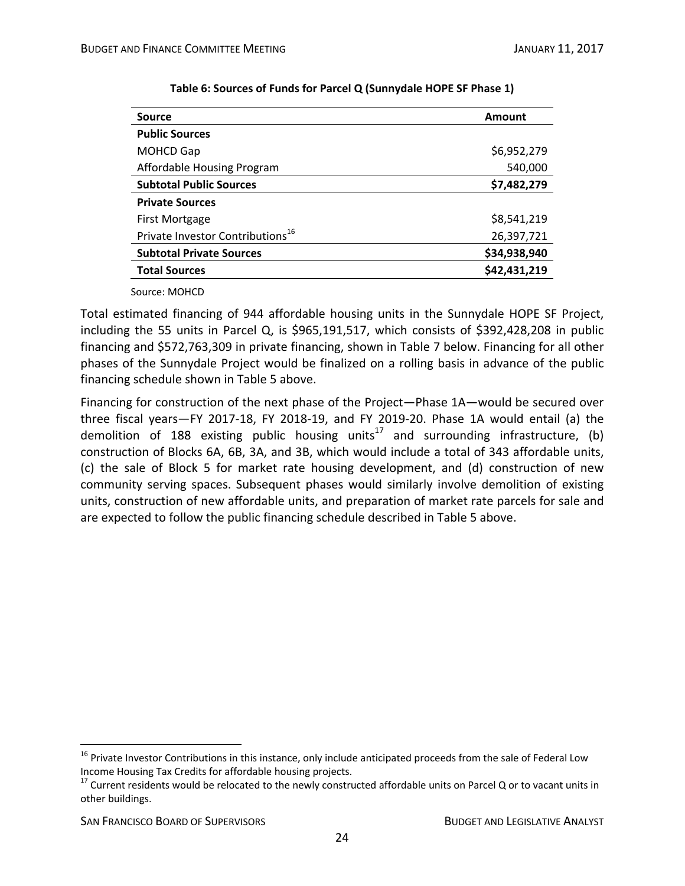| <b>Source</b>                                | Amount       |
|----------------------------------------------|--------------|
| <b>Public Sources</b>                        |              |
| <b>MOHCD Gap</b>                             | \$6,952,279  |
| Affordable Housing Program                   | 540,000      |
| <b>Subtotal Public Sources</b>               | \$7,482,279  |
| <b>Private Sources</b>                       |              |
| <b>First Mortgage</b>                        | \$8,541,219  |
| Private Investor Contributions <sup>16</sup> | 26,397,721   |
| <b>Subtotal Private Sources</b>              | \$34,938,940 |
| <b>Total Sources</b>                         | \$42,431,219 |
|                                              |              |

#### **Table 6: Sources of Funds for Parcel Q (Sunnydale HOPE SF Phase 1)**

Source: MOHCD

Total estimated financing of 944 affordable housing units in the Sunnydale HOPE SF Project, including the 55 units in Parcel Q, is \$965,191,517, which consists of \$392,428,208 in public financing and \$572,763,309 in private financing, shown in Table 7 below. Financing for all other phases of the Sunnydale Project would be finalized on a rolling basis in advance of the public financing schedule shown in Table 5 above.

Financing for construction of the next phase of the Project—Phase 1A—would be secured over three fiscal years—FY 2017‐18, FY 2018‐19, and FY 2019‐20. Phase 1A would entail (a) the demolition of 188 existing public housing units<sup>17</sup> and surrounding infrastructure, (b) construction of Blocks 6A, 6B, 3A, and 3B, which would include a total of 343 affordable units, (c) the sale of Block 5 for market rate housing development, and (d) construction of new community serving spaces. Subsequent phases would similarly involve demolition of existing units, construction of new affordable units, and preparation of market rate parcels for sale and are expected to follow the public financing schedule described in Table 5 above.

1

<sup>&</sup>lt;sup>16</sup> Private Investor Contributions in this instance, only include anticipated proceeds from the sale of Federal Low<br>Income Housing Tax Credits for affordable housing projects.

 $17$  Current residents would be relocated to the newly constructed affordable units on Parcel Q or to vacant units in other buildings.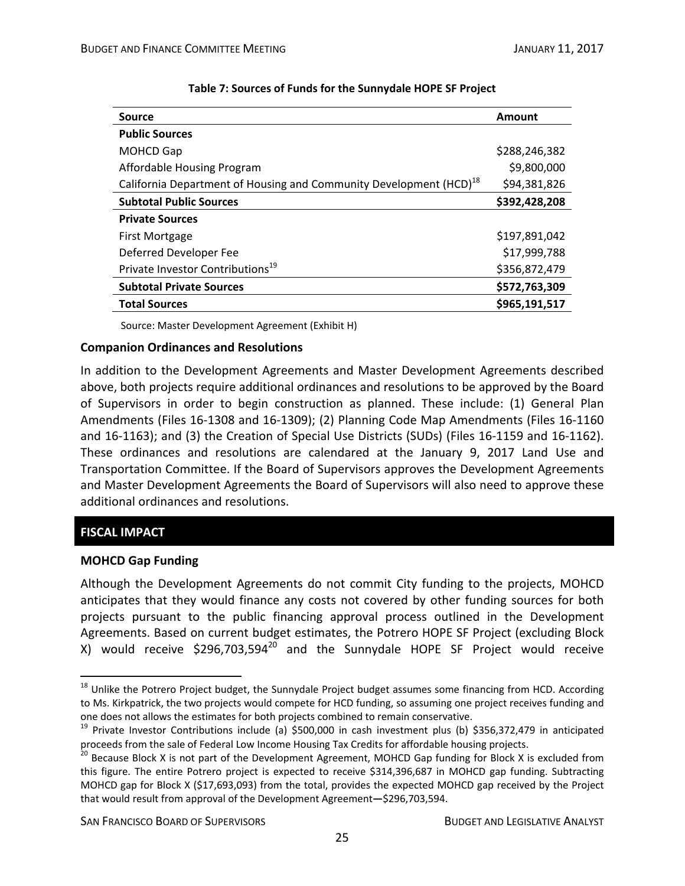| <b>Source</b>                                                                  | Amount        |
|--------------------------------------------------------------------------------|---------------|
| <b>Public Sources</b>                                                          |               |
| <b>MOHCD Gap</b>                                                               | \$288,246,382 |
| Affordable Housing Program                                                     | \$9,800,000   |
| California Department of Housing and Community Development (HCD) <sup>18</sup> | \$94,381,826  |
| <b>Subtotal Public Sources</b>                                                 | \$392,428,208 |
| <b>Private Sources</b>                                                         |               |
| First Mortgage                                                                 | \$197,891,042 |
| Deferred Developer Fee                                                         | \$17,999,788  |
| Private Investor Contributions <sup>19</sup>                                   | \$356,872,479 |
| <b>Subtotal Private Sources</b>                                                | \$572,763,309 |
| <b>Total Sources</b>                                                           | \$965,191,517 |

#### **Table 7: Sources of Funds for the Sunnydale HOPE SF Project**

Source: Master Development Agreement (Exhibit H)

#### **Companion Ordinances and Resolutions**

In addition to the Development Agreements and Master Development Agreements described above, both projects require additional ordinances and resolutions to be approved by the Board of Supervisors in order to begin construction as planned. These include: (1) General Plan Amendments (Files 16‐1308 and 16‐1309); (2) Planning Code Map Amendments (Files 16‐1160 and 16‐1163); and (3) the Creation of Special Use Districts (SUDs) (Files 16‐1159 and 16‐1162). These ordinances and resolutions are calendared at the January 9, 2017 Land Use and Transportation Committee. If the Board of Supervisors approves the Development Agreements and Master Development Agreements the Board of Supervisors will also need to approve these additional ordinances and resolutions.

## **FISCAL IMPACT**

1

#### **MOHCD Gap Funding**

Although the Development Agreements do not commit City funding to the projects, MOHCD anticipates that they would finance any costs not covered by other funding sources for both projects pursuant to the public financing approval process outlined in the Development Agreements. Based on current budget estimates, the Potrero HOPE SF Project (excluding Block X) would receive  $$296,703,594^{20}$  and the Sunnydale HOPE SF Project would receive

SAN FRANCISCO BOARD OF SUPERVISORS BUDGET AND LEGISLATIVE ANALYST

<sup>&</sup>lt;sup>18</sup> Unlike the Potrero Project budget, the Sunnydale Project budget assumes some financing from HCD. According to Ms. Kirkpatrick, the two projects would compete for HCD funding, so assuming one project receives funding and one does not allows the estimates for both projects combined to remain conservative.<br><sup>19</sup> Private Investor Contributions include (a) \$500,000 in cash investment plus (b) \$356,372,479 in anticipated

proceeds from the sale of Federal Low Income Housing Tax Credits for affordable housing projects.<br><sup>20</sup> Because Block X is not part of the Development Agreement, MOHCD Gap funding for Block X is excluded from

this figure. The entire Potrero project is expected to receive \$314,396,687 in MOHCD gap funding. Subtracting MOHCD gap for Block X (\$17,693,093) from the total, provides the expected MOHCD gap received by the Project that would result from approval of the Development Agreement**—**\$296,703,594.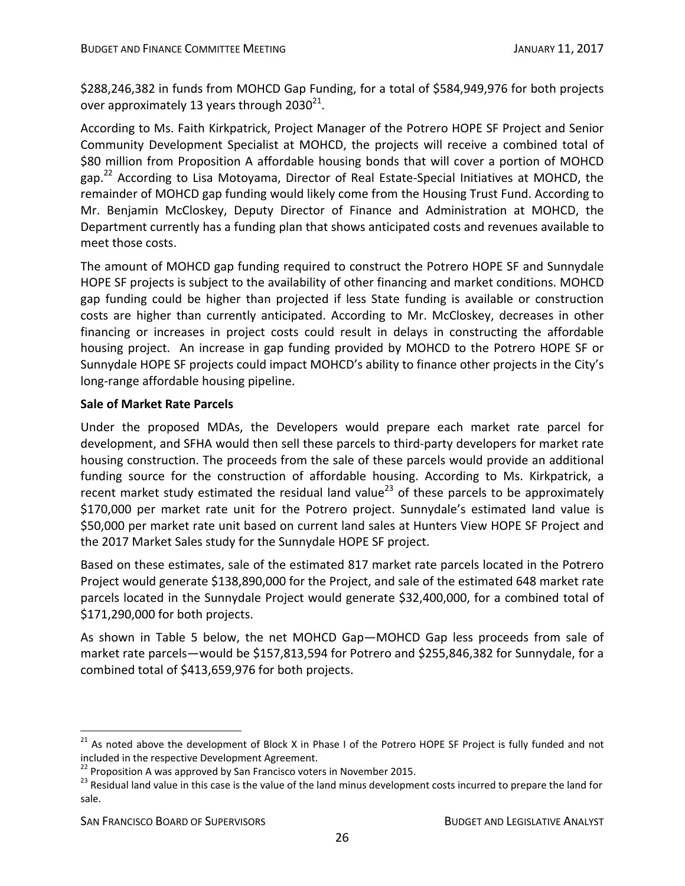\$288,246,382 in funds from MOHCD Gap Funding, for a total of \$584,949,976 for both projects over approximately 13 years through  $2030^{21}$ .

According to Ms. Faith Kirkpatrick, Project Manager of the Potrero HOPE SF Project and Senior Community Development Specialist at MOHCD, the projects will receive a combined total of \$80 million from Proposition A affordable housing bonds that will cover a portion of MOHCD gap.<sup>22</sup> According to Lisa Motoyama, Director of Real Estate-Special Initiatives at MOHCD, the remainder of MOHCD gap funding would likely come from the Housing Trust Fund. According to Mr. Benjamin McCloskey, Deputy Director of Finance and Administration at MOHCD, the Department currently has a funding plan that shows anticipated costs and revenues available to meet those costs.

The amount of MOHCD gap funding required to construct the Potrero HOPE SF and Sunnydale HOPE SF projects is subject to the availability of other financing and market conditions. MOHCD gap funding could be higher than projected if less State funding is available or construction costs are higher than currently anticipated. According to Mr. McCloskey, decreases in other financing or increases in project costs could result in delays in constructing the affordable housing project. An increase in gap funding provided by MOHCD to the Potrero HOPE SF or Sunnydale HOPE SF projects could impact MOHCD's ability to finance other projects in the City's long‐range affordable housing pipeline.

## **Sale of Market Rate Parcels**

Under the proposed MDAs, the Developers would prepare each market rate parcel for development, and SFHA would then sell these parcels to third-party developers for market rate housing construction. The proceeds from the sale of these parcels would provide an additional funding source for the construction of affordable housing. According to Ms. Kirkpatrick, a recent market study estimated the residual land value<sup>23</sup> of these parcels to be approximately \$170,000 per market rate unit for the Potrero project. Sunnydale's estimated land value is \$50,000 per market rate unit based on current land sales at Hunters View HOPE SF Project and the 2017 Market Sales study for the Sunnydale HOPE SF project.

Based on these estimates, sale of the estimated 817 market rate parcels located in the Potrero Project would generate \$138,890,000 for the Project, and sale of the estimated 648 market rate parcels located in the Sunnydale Project would generate \$32,400,000, for a combined total of \$171,290,000 for both projects.

As shown in Table 5 below, the net MOHCD Gap—MOHCD Gap less proceeds from sale of market rate parcels—would be \$157,813,594 for Potrero and \$255,846,382 for Sunnydale, for a combined total of \$413,659,976 for both projects.

<sup>&</sup>lt;sup>21</sup> As noted above the development of Block X in Phase I of the Potrero HOPE SF Project is fully funded and not included in the respective Development Agreement.<br><sup>22</sup> Proposition A was approved by San Francisco voters in November 2015.<br><sup>23</sup> Residual land value in this case is the value of the land minus development costs incurred t

sale.